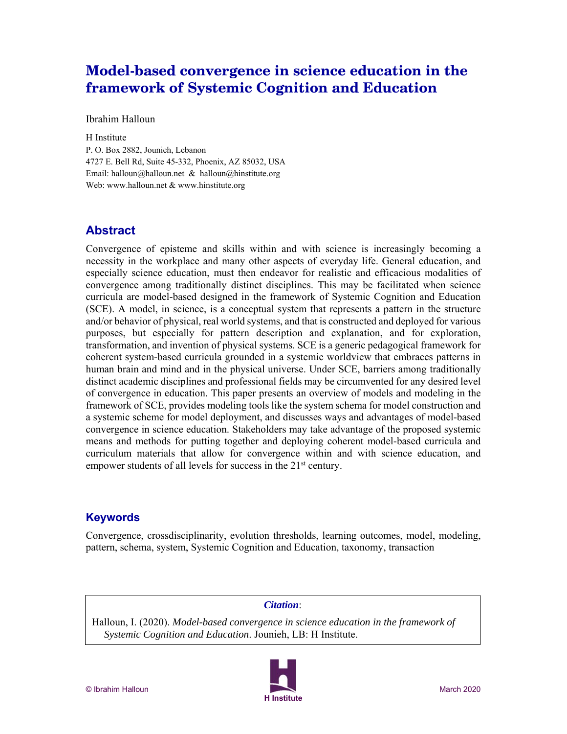# **Model-based convergence in science education in the framework of Systemic Cognition and Education**

Ibrahim Halloun

H Institute P. O. Box 2882, Jounieh, Lebanon 4727 E. Bell Rd, Suite 45-332, Phoenix, AZ 85032, USA Email: halloun@halloun.net & halloun@hinstitute.org Web: www.halloun.net & www.hinstitute.org

## **Abstract**

Convergence of episteme and skills within and with science is increasingly becoming a necessity in the workplace and many other aspects of everyday life. General education, and especially science education, must then endeavor for realistic and efficacious modalities of convergence among traditionally distinct disciplines. This may be facilitated when science curricula are model-based designed in the framework of Systemic Cognition and Education (SCE). A model, in science, is a conceptual system that represents a pattern in the structure and/or behavior of physical, real world systems, and that is constructed and deployed for various purposes, but especially for pattern description and explanation, and for exploration, transformation, and invention of physical systems. SCE is a generic pedagogical framework for coherent system-based curricula grounded in a systemic worldview that embraces patterns in human brain and mind and in the physical universe. Under SCE, barriers among traditionally distinct academic disciplines and professional fields may be circumvented for any desired level of convergence in education. This paper presents an overview of models and modeling in the framework of SCE, provides modeling tools like the system schema for model construction and a systemic scheme for model deployment, and discusses ways and advantages of model-based convergence in science education. Stakeholders may take advantage of the proposed systemic means and methods for putting together and deploying coherent model-based curricula and curriculum materials that allow for convergence within and with science education, and empower students of all levels for success in the  $21<sup>st</sup>$  century.

## **Keywords**

Convergence, crossdisciplinarity, evolution thresholds, learning outcomes, model, modeling, pattern, schema, system, Systemic Cognition and Education, taxonomy, transaction

### *Citation*:

Halloun, I. (2020). *Model-based convergence in science education in the framework of Systemic Cognition and Education*. Jounieh, LB: H Institute.

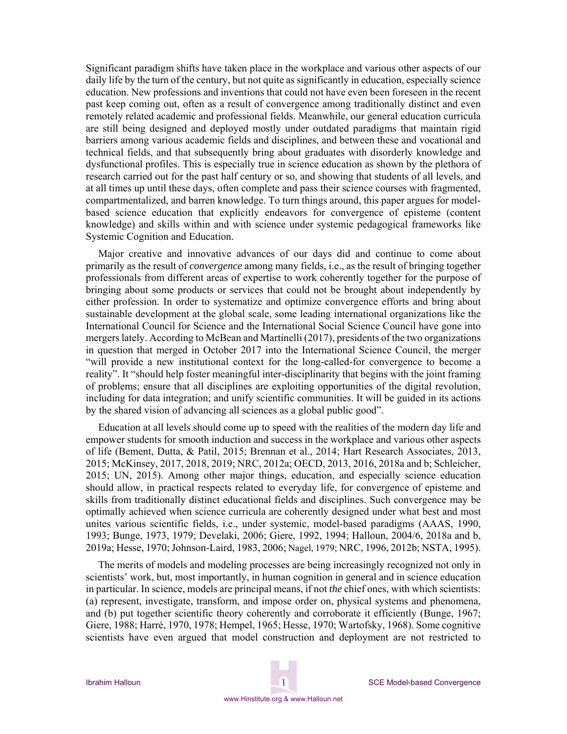Significant paradigm shifts have taken place in the workplace and various other aspects of our daily life by the turn of the century, but not quite as significantly in education, especially science education. New professions and inventions that could not have even been foreseen in the recent past keep coming out, often as a result of convergence among traditionally distinct and even remotely related academic and professional fields. Meanwhile, our general education curricula are still being designed and deployed mostly under outdated paradigms that maintain rigid barriers among various academic fields and disciplines, and between these and vocational and technical fields, and that subsequently bring about graduates with disorderly knowledge and dysfunctional profiles. This is especially true in science education as shown by the plethora of research carried out for the past half century or so, and showing that students of all levels, and at all times up until these days, often complete and pass their science courses with fragmented, compartmentalized, and barren knowledge. To turn things around, this paper argues for modelbased science education that explicitly endeavors for convergence of episteme (content knowledge) and skills within and with science under systemic pedagogical frameworks like Systemic Cognition and Education.

Major creative and innovative advances of our days did and continue to come about primarily as the result of *convergence* among many fields, i.e., as the result of bringing together professionals from different areas of expertise to work coherently together for the purpose of bringing about some products or services that could not be brought about independently by either profession. In order to systematize and optimize convergence efforts and bring about sustainable development at the global scale, some leading international organizations like the International Council for Science and the International Social Science Council have gone into mergers lately. According to McBean and Martinelli (2017), presidents of the two organizations in question that merged in October 2017 into the International Science Council, the merger "will provide a new institutional context for the long-called-for convergence to become a reality". It "should help foster meaningful inter-disciplinarity that begins with the joint framing of problems; ensure that all disciplines are exploiting opportunities of the digital revolution, including for data integration; and unify scientific communities. It will be guided in its actions by the shared vision of advancing all sciences as a global public good".

Education at all levels should come up to speed with the realities of the modern day life and empower students for smooth induction and success in the workplace and various other aspects of life (Bement, Dutta, & Patil, 2015; Brennan et al., 2014; Hart Research Associates, 2013, 2015; McKinsey, 2017, 2018, 2019; NRC, 2012a; OECD, 2013, 2016, 2018a and b; Schleicher, 2015; UN, 2015). Among other major things, education, and especially science education should allow, in practical respects related to everyday life, for convergence of episteme and skills from traditionally distinct educational fields and disciplines. Such convergence may be optimally achieved when science curricula are coherently designed under what best and most unites various scientific fields, i.e., under systemic, model-based paradigms (AAAS, 1990, 1993; Bunge, 1973, 1979; Develaki, 2006; Giere, 1992, 1994; Halloun, 2004/6, 2018a and b, 2019a; Hesse, 1970; Johnson-Laird, 1983, 2006; Nagel, 1979; NRC, 1996, 2012b; NSTA, 1995).

The merits of models and modeling processes are being increasingly recognized not only in scientists' work, but, most importantly, in human cognition in general and in science education in particular. In science, models are principal means, if not *the* chief ones, with which scientists: (a) represent, investigate, transform, and impose order on, physical systems and phenomena, and (b) put together scientific theory coherently and corroborate it efficiently (Bunge, 1967; Giere, 1988; Harré, 1970, 1978; Hempel, 1965; Hesse, 1970; Wartofsky, 1968). Some cognitive scientists have even argued that model construction and deployment are not restricted to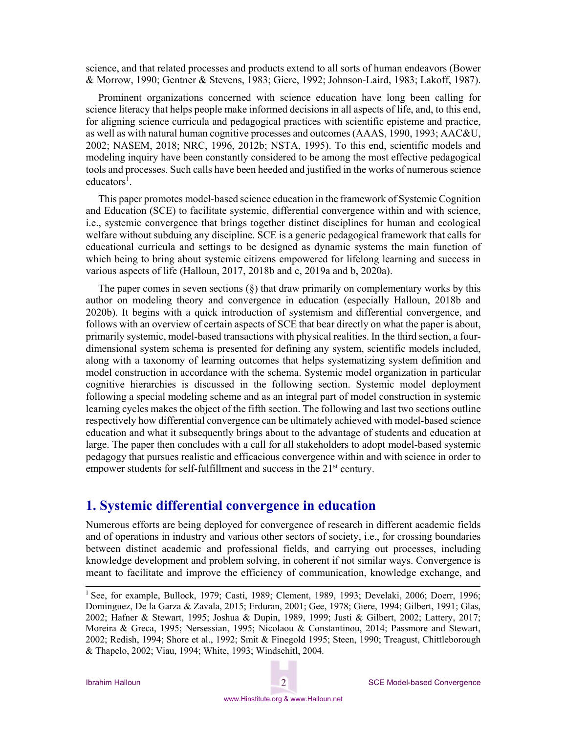science, and that related processes and products extend to all sorts of human endeavors (Bower & Morrow, 1990; Gentner & Stevens, 1983; Giere, 1992; Johnson-Laird, 1983; Lakoff, 1987).

Prominent organizations concerned with science education have long been calling for science literacy that helps people make informed decisions in all aspects of life, and, to this end, for aligning science curricula and pedagogical practices with scientific episteme and practice, as well as with natural human cognitive processes and outcomes (AAAS, 1990, 1993; AAC&U, 2002; NASEM, 2018; NRC, 1996, 2012b; NSTA, 1995). To this end, scientific models and modeling inquiry have been constantly considered to be among the most effective pedagogical tools and processes. Such calls have been heeded and justified in the works of numerous science  $educators<sup>1</sup>$ .

This paper promotes model-based science education in the framework of Systemic Cognition and Education (SCE) to facilitate systemic, differential convergence within and with science, i.e., systemic convergence that brings together distinct disciplines for human and ecological welfare without subduing any discipline. SCE is a generic pedagogical framework that calls for educational curricula and settings to be designed as dynamic systems the main function of which being to bring about systemic citizens empowered for lifelong learning and success in various aspects of life (Halloun, 2017, 2018b and c, 2019a and b, 2020a).

The paper comes in seven sections  $(\S)$  that draw primarily on complementary works by this author on modeling theory and convergence in education (especially Halloun, 2018b and 2020b). It begins with a quick introduction of systemism and differential convergence, and follows with an overview of certain aspects of SCE that bear directly on what the paper is about, primarily systemic, model-based transactions with physical realities. In the third section, a fourdimensional system schema is presented for defining any system, scientific models included, along with a taxonomy of learning outcomes that helps systematizing system definition and model construction in accordance with the schema. Systemic model organization in particular cognitive hierarchies is discussed in the following section. Systemic model deployment following a special modeling scheme and as an integral part of model construction in systemic learning cycles makes the object of the fifth section. The following and last two sections outline respectively how differential convergence can be ultimately achieved with model-based science education and what it subsequently brings about to the advantage of students and education at large. The paper then concludes with a call for all stakeholders to adopt model-based systemic pedagogy that pursues realistic and efficacious convergence within and with science in order to empower students for self-fulfillment and success in the 21<sup>st</sup> century.

## **1. Systemic differential convergence in education**

Numerous efforts are being deployed for convergence of research in different academic fields and of operations in industry and various other sectors of society, i.e., for crossing boundaries between distinct academic and professional fields, and carrying out processes, including knowledge development and problem solving, in coherent if not similar ways. Convergence is meant to facilitate and improve the efficiency of communication, knowledge exchange, and

<sup>&</sup>lt;sup>1</sup> See, for example, Bullock, 1979; Casti, 1989; Clement, 1989, 1993; Develaki, 2006; Doerr, 1996; Dominguez, De la Garza & Zavala, 2015; Erduran, 2001; Gee, 1978; Giere, 1994; Gilbert, 1991; Glas, 2002; Hafner & Stewart, 1995; Joshua & Dupin, 1989, 1999; Justi & Gilbert, 2002; Lattery, 2017; Moreira & Greca, 1995; Nersessian, 1995; Nicolaou & Constantinou, 2014; Passmore and Stewart, 2002; Redish, 1994; Shore et al., 1992; Smit & Finegold 1995; Steen, 1990; Treagust, Chittleborough & Thapelo, 2002; Viau, 1994; White, 1993; Windschitl, 2004.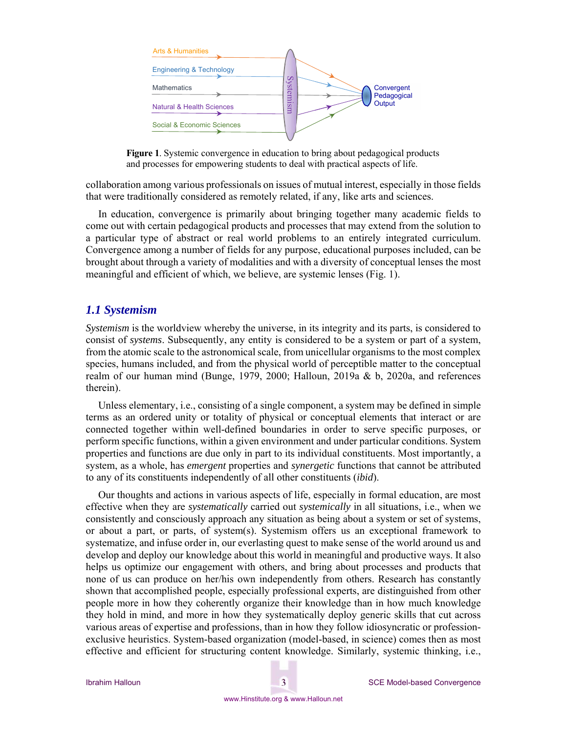



collaboration among various professionals on issues of mutual interest, especially in those fields that were traditionally considered as remotely related, if any, like arts and sciences.

In education, convergence is primarily about bringing together many academic fields to come out with certain pedagogical products and processes that may extend from the solution to a particular type of abstract or real world problems to an entirely integrated curriculum. Convergence among a number of fields for any purpose, educational purposes included, can be brought about through a variety of modalities and with a diversity of conceptual lenses the most meaningful and efficient of which, we believe, are systemic lenses (Fig. 1).

#### *1.1 Systemism*

*Systemism* is the worldview whereby the universe, in its integrity and its parts, is considered to consist of *systems*. Subsequently, any entity is considered to be a system or part of a system, from the atomic scale to the astronomical scale, from unicellular organisms to the most complex species, humans included, and from the physical world of perceptible matter to the conceptual realm of our human mind (Bunge, 1979, 2000; Halloun, 2019a & b, 2020a, and references therein).

Unless elementary, i.e., consisting of a single component, a system may be defined in simple terms as an ordered unity or totality of physical or conceptual elements that interact or are connected together within well-defined boundaries in order to serve specific purposes, or perform specific functions, within a given environment and under particular conditions. System properties and functions are due only in part to its individual constituents. Most importantly, a system, as a whole, has *emergent* properties and *synergetic* functions that cannot be attributed to any of its constituents independently of all other constituents (*ibid*).

Our thoughts and actions in various aspects of life, especially in formal education, are most effective when they are *systematically* carried out *systemically* in all situations, i.e., when we consistently and consciously approach any situation as being about a system or set of systems, or about a part, or parts, of system(s). Systemism offers us an exceptional framework to systematize, and infuse order in, our everlasting quest to make sense of the world around us and develop and deploy our knowledge about this world in meaningful and productive ways. It also helps us optimize our engagement with others, and bring about processes and products that none of us can produce on her/his own independently from others. Research has constantly shown that accomplished people, especially professional experts, are distinguished from other people more in how they coherently organize their knowledge than in how much knowledge they hold in mind, and more in how they systematically deploy generic skills that cut across various areas of expertise and professions, than in how they follow idiosyncratic or professionexclusive heuristics. System-based organization (model-based, in science) comes then as most effective and efficient for structuring content knowledge. Similarly, systemic thinking, i.e.,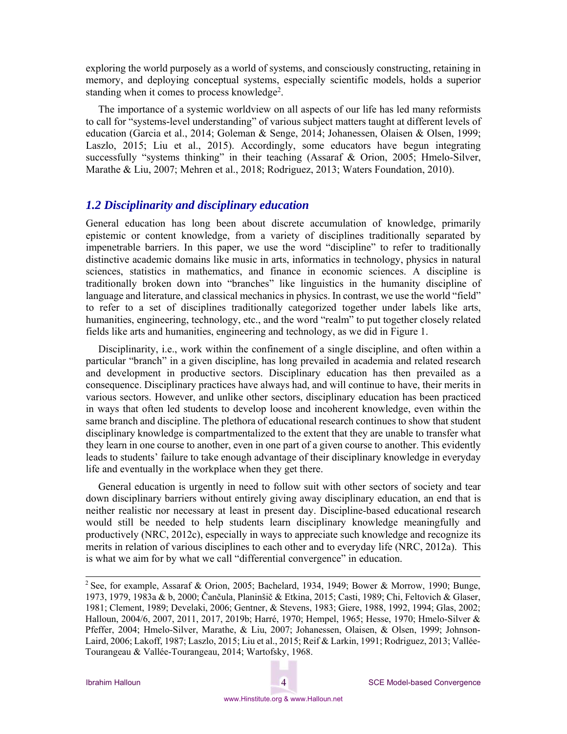exploring the world purposely as a world of systems, and consciously constructing, retaining in memory, and deploying conceptual systems, especially scientific models, holds a superior standing when it comes to process knowledge<sup>2</sup>.

The importance of a systemic worldview on all aspects of our life has led many reformists to call for "systems-level understanding" of various subject matters taught at different levels of education (Garcia et al., 2014; Goleman & Senge, 2014; Johanessen, Olaisen & Olsen, 1999; Laszlo, 2015; Liu et al., 2015). Accordingly, some educators have begun integrating successfully "systems thinking" in their teaching (Assaraf & Orion, 2005; Hmelo-Silver, Marathe & Liu, 2007; Mehren et al., 2018; Rodriguez, 2013; Waters Foundation, 2010).

### *1.2 Disciplinarity and disciplinary education*

General education has long been about discrete accumulation of knowledge, primarily epistemic or content knowledge, from a variety of disciplines traditionally separated by impenetrable barriers. In this paper, we use the word "discipline" to refer to traditionally distinctive academic domains like music in arts, informatics in technology, physics in natural sciences, statistics in mathematics, and finance in economic sciences. A discipline is traditionally broken down into "branches" like linguistics in the humanity discipline of language and literature, and classical mechanics in physics. In contrast, we use the world "field" to refer to a set of disciplines traditionally categorized together under labels like arts, humanities, engineering, technology, etc., and the word "realm" to put together closely related fields like arts and humanities, engineering and technology, as we did in Figure 1.

Disciplinarity, i.e., work within the confinement of a single discipline, and often within a particular "branch" in a given discipline, has long prevailed in academia and related research and development in productive sectors. Disciplinary education has then prevailed as a consequence. Disciplinary practices have always had, and will continue to have, their merits in various sectors. However, and unlike other sectors, disciplinary education has been practiced in ways that often led students to develop loose and incoherent knowledge, even within the same branch and discipline. The plethora of educational research continues to show that student disciplinary knowledge is compartmentalized to the extent that they are unable to transfer what they learn in one course to another, even in one part of a given course to another. This evidently leads to students' failure to take enough advantage of their disciplinary knowledge in everyday life and eventually in the workplace when they get there.

General education is urgently in need to follow suit with other sectors of society and tear down disciplinary barriers without entirely giving away disciplinary education, an end that is neither realistic nor necessary at least in present day. Discipline-based educational research would still be needed to help students learn disciplinary knowledge meaningfully and productively (NRC, 2012c), especially in ways to appreciate such knowledge and recognize its merits in relation of various disciplines to each other and to everyday life (NRC, 2012a). This is what we aim for by what we call "differential convergence" in education.

<sup>&</sup>lt;sup>2</sup> See, for example, Assaraf & Orion, 2005; Bachelard, 1934, 1949; Bower & Morrow, 1990; Bunge, 1973, 1979, 1983a & b, 2000; Čančula, Planinšič & Etkina, 2015; Casti, 1989; Chi, Feltovich & Glaser, 1981; Clement, 1989; Develaki, 2006; Gentner, & Stevens, 1983; Giere, 1988, 1992, 1994; Glas, 2002; Halloun, 2004/6, 2007, 2011, 2017, 2019b; Harré, 1970; Hempel, 1965; Hesse, 1970; Hmelo-Silver & Pfeffer, 2004; Hmelo-Silver, Marathe, & Liu, 2007; Johanessen, Olaisen, & Olsen, 1999; Johnson-Laird, 2006; Lakoff, 1987; Laszlo, 2015; Liu et al., 2015; Reif & Larkin, 1991; Rodriguez, 2013; Vallée-Tourangeau & Vallée-Tourangeau, 2014; Wartofsky, 1968.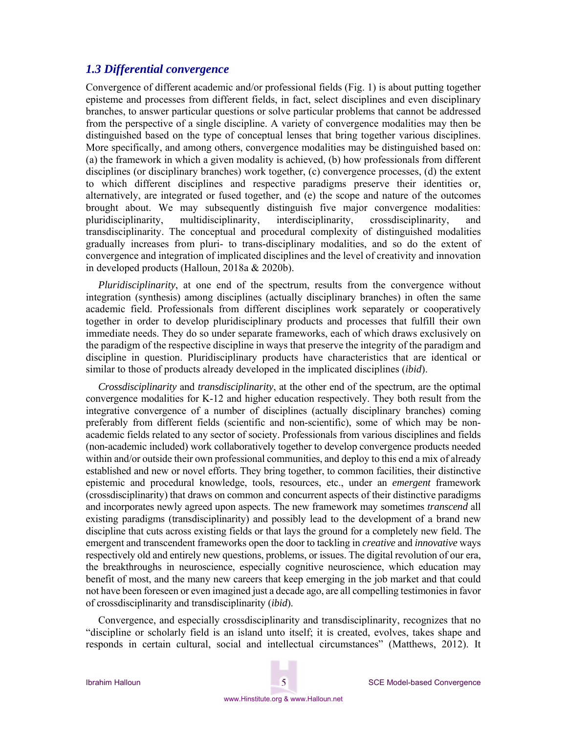### *1.3 Differential convergence*

Convergence of different academic and/or professional fields (Fig. 1) is about putting together episteme and processes from different fields, in fact, select disciplines and even disciplinary branches, to answer particular questions or solve particular problems that cannot be addressed from the perspective of a single discipline. A variety of convergence modalities may then be distinguished based on the type of conceptual lenses that bring together various disciplines. More specifically, and among others, convergence modalities may be distinguished based on: (a) the framework in which a given modality is achieved, (b) how professionals from different disciplines (or disciplinary branches) work together, (c) convergence processes, (d) the extent to which different disciplines and respective paradigms preserve their identities or, alternatively, are integrated or fused together, and (e) the scope and nature of the outcomes brought about. We may subsequently distinguish five major convergence modalities: pluridisciplinarity, multidisciplinarity, interdisciplinarity, crossdisciplinarity, and transdisciplinarity. The conceptual and procedural complexity of distinguished modalities gradually increases from pluri- to trans-disciplinary modalities, and so do the extent of convergence and integration of implicated disciplines and the level of creativity and innovation in developed products (Halloun, 2018a & 2020b).

*Pluridisciplinarity*, at one end of the spectrum, results from the convergence without integration (synthesis) among disciplines (actually disciplinary branches) in often the same academic field. Professionals from different disciplines work separately or cooperatively together in order to develop pluridisciplinary products and processes that fulfill their own immediate needs. They do so under separate frameworks, each of which draws exclusively on the paradigm of the respective discipline in ways that preserve the integrity of the paradigm and discipline in question. Pluridisciplinary products have characteristics that are identical or similar to those of products already developed in the implicated disciplines (*ibid*).

*Crossdisciplinarity* and *transdisciplinarity*, at the other end of the spectrum, are the optimal convergence modalities for K-12 and higher education respectively. They both result from the integrative convergence of a number of disciplines (actually disciplinary branches) coming preferably from different fields (scientific and non-scientific), some of which may be nonacademic fields related to any sector of society. Professionals from various disciplines and fields (non-academic included) work collaboratively together to develop convergence products needed within and/or outside their own professional communities, and deploy to this end a mix of already established and new or novel efforts. They bring together, to common facilities, their distinctive epistemic and procedural knowledge, tools, resources, etc., under an *emergent* framework (crossdisciplinarity) that draws on common and concurrent aspects of their distinctive paradigms and incorporates newly agreed upon aspects. The new framework may sometimes *transcend* all existing paradigms (transdisciplinarity) and possibly lead to the development of a brand new discipline that cuts across existing fields or that lays the ground for a completely new field. The emergent and transcendent frameworks open the door to tackling in *creative* and *innovative* ways respectively old and entirely new questions, problems, or issues. The digital revolution of our era, the breakthroughs in neuroscience, especially cognitive neuroscience, which education may benefit of most, and the many new careers that keep emerging in the job market and that could not have been foreseen or even imagined just a decade ago, are all compelling testimonies in favor of crossdisciplinarity and transdisciplinarity (*ibid*).

Convergence, and especially crossdisciplinarity and transdisciplinarity, recognizes that no "discipline or scholarly field is an island unto itself; it is created, evolves, takes shape and responds in certain cultural, social and intellectual circumstances" (Matthews, 2012). It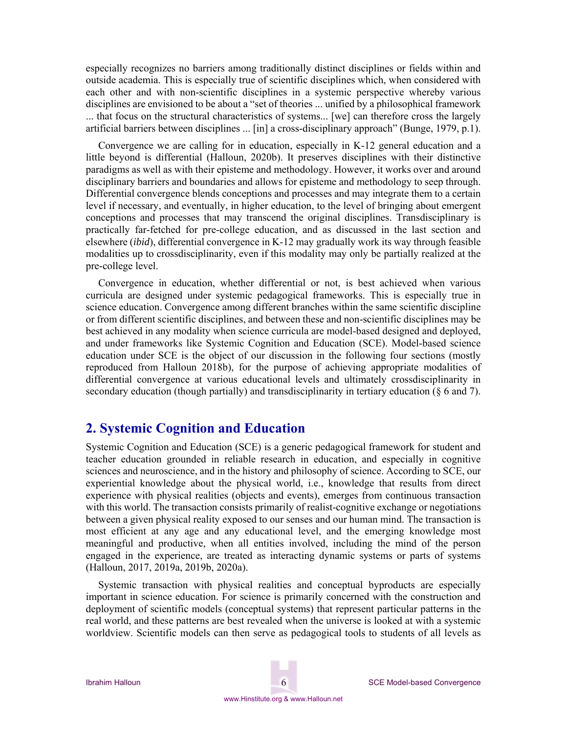especially recognizes no barriers among traditionally distinct disciplines or fields within and outside academia. This is especially true of scientific disciplines which, when considered with each other and with non-scientific disciplines in a systemic perspective whereby various disciplines are envisioned to be about a "set of theories ... unified by a philosophical framework ... that focus on the structural characteristics of systems... [we] can therefore cross the largely artificial barriers between disciplines ... [in] a cross-disciplinary approach" (Bunge, 1979, p.1).

Convergence we are calling for in education, especially in K-12 general education and a little beyond is differential (Halloun, 2020b). It preserves disciplines with their distinctive paradigms as well as with their episteme and methodology. However, it works over and around disciplinary barriers and boundaries and allows for episteme and methodology to seep through. Differential convergence blends conceptions and processes and may integrate them to a certain level if necessary, and eventually, in higher education, to the level of bringing about emergent conceptions and processes that may transcend the original disciplines. Transdisciplinary is practically far-fetched for pre-college education, and as discussed in the last section and elsewhere (*ibid*), differential convergence in K-12 may gradually work its way through feasible modalities up to crossdisciplinarity, even if this modality may only be partially realized at the pre-college level.

Convergence in education, whether differential or not, is best achieved when various curricula are designed under systemic pedagogical frameworks. This is especially true in science education. Convergence among different branches within the same scientific discipline or from different scientific disciplines, and between these and non-scientific disciplines may be best achieved in any modality when science curricula are model-based designed and deployed, and under frameworks like Systemic Cognition and Education (SCE). Model-based science education under SCE is the object of our discussion in the following four sections (mostly reproduced from Halloun 2018b), for the purpose of achieving appropriate modalities of differential convergence at various educational levels and ultimately crossdisciplinarity in secondary education (though partially) and transdisciplinarity in tertiary education (§ 6 and 7).

## **2. Systemic Cognition and Education**

Systemic Cognition and Education (SCE) is a generic pedagogical framework for student and teacher education grounded in reliable research in education, and especially in cognitive sciences and neuroscience, and in the history and philosophy of science. According to SCE, our experiential knowledge about the physical world, i.e., knowledge that results from direct experience with physical realities (objects and events), emerges from continuous transaction with this world. The transaction consists primarily of realist-cognitive exchange or negotiations between a given physical reality exposed to our senses and our human mind. The transaction is most efficient at any age and any educational level, and the emerging knowledge most meaningful and productive, when all entities involved, including the mind of the person engaged in the experience, are treated as interacting dynamic systems or parts of systems (Halloun, 2017, 2019a, 2019b, 2020a).

Systemic transaction with physical realities and conceptual byproducts are especially important in science education. For science is primarily concerned with the construction and deployment of scientific models (conceptual systems) that represent particular patterns in the real world, and these patterns are best revealed when the universe is looked at with a systemic worldview. Scientific models can then serve as pedagogical tools to students of all levels as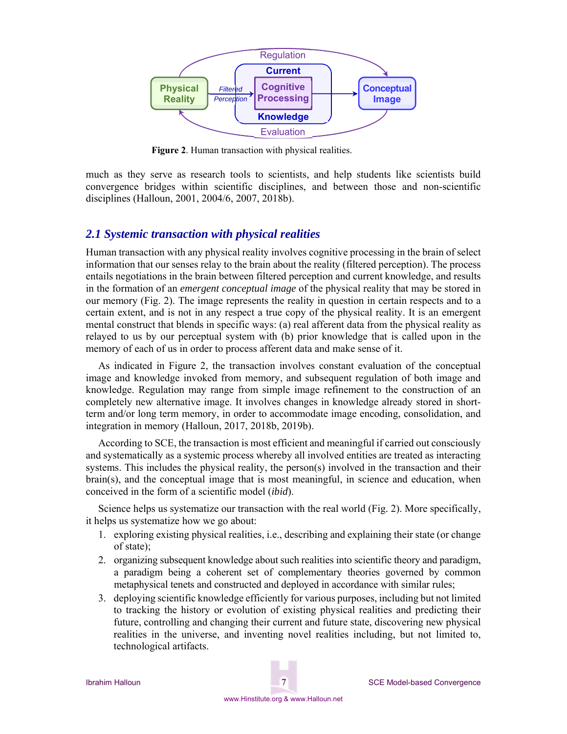

**Figure 2**. Human transaction with physical realities.

much as they serve as research tools to scientists, and help students like scientists build convergence bridges within scientific disciplines, and between those and non-scientific disciplines (Halloun, 2001, 2004/6, 2007, 2018b).

## *2.1 Systemic transaction with physical realities*

Human transaction with any physical reality involves cognitive processing in the brain of select information that our senses relay to the brain about the reality (filtered perception). The process entails negotiations in the brain between filtered perception and current knowledge, and results in the formation of an *emergent conceptual image* of the physical reality that may be stored in our memory (Fig. 2). The image represents the reality in question in certain respects and to a certain extent, and is not in any respect a true copy of the physical reality. It is an emergent mental construct that blends in specific ways: (a) real afferent data from the physical reality as relayed to us by our perceptual system with (b) prior knowledge that is called upon in the memory of each of us in order to process afferent data and make sense of it.

As indicated in Figure 2, the transaction involves constant evaluation of the conceptual image and knowledge invoked from memory, and subsequent regulation of both image and knowledge. Regulation may range from simple image refinement to the construction of an completely new alternative image. It involves changes in knowledge already stored in shortterm and/or long term memory, in order to accommodate image encoding, consolidation, and integration in memory (Halloun, 2017, 2018b, 2019b).

According to SCE, the transaction is most efficient and meaningful if carried out consciously and systematically as a systemic process whereby all involved entities are treated as interacting systems. This includes the physical reality, the person(s) involved in the transaction and their brain(s), and the conceptual image that is most meaningful, in science and education, when conceived in the form of a scientific model (*ibid*).

Science helps us systematize our transaction with the real world (Fig. 2). More specifically, it helps us systematize how we go about:

- 1. exploring existing physical realities, i.e., describing and explaining their state (or change of state);
- 2. organizing subsequent knowledge about such realities into scientific theory and paradigm, a paradigm being a coherent set of complementary theories governed by common metaphysical tenets and constructed and deployed in accordance with similar rules;
- 3. deploying scientific knowledge efficiently for various purposes, including but not limited to tracking the history or evolution of existing physical realities and predicting their future, controlling and changing their current and future state, discovering new physical realities in the universe, and inventing novel realities including, but not limited to, technological artifacts.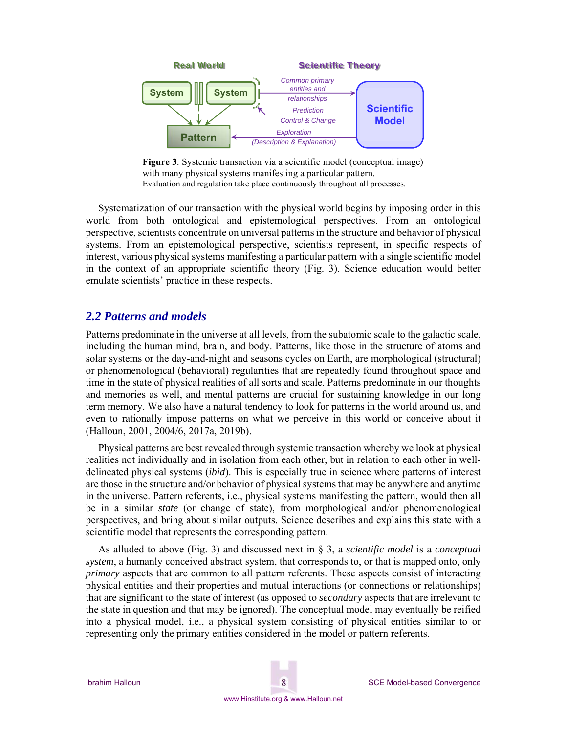

**Figure 3**. Systemic transaction via a scientific model (conceptual image) with many physical systems manifesting a particular pattern. Evaluation and regulation take place continuously throughout all processes.

Systematization of our transaction with the physical world begins by imposing order in this world from both ontological and epistemological perspectives. From an ontological perspective, scientists concentrate on universal patterns in the structure and behavior of physical systems. From an epistemological perspective, scientists represent, in specific respects of interest, various physical systems manifesting a particular pattern with a single scientific model in the context of an appropriate scientific theory (Fig. 3). Science education would better emulate scientists' practice in these respects.

### *2.2 Patterns and models*

Patterns predominate in the universe at all levels, from the subatomic scale to the galactic scale, including the human mind, brain, and body. Patterns, like those in the structure of atoms and solar systems or the day-and-night and seasons cycles on Earth, are morphological (structural) or phenomenological (behavioral) regularities that are repeatedly found throughout space and time in the state of physical realities of all sorts and scale. Patterns predominate in our thoughts and memories as well, and mental patterns are crucial for sustaining knowledge in our long term memory. We also have a natural tendency to look for patterns in the world around us, and even to rationally impose patterns on what we perceive in this world or conceive about it (Halloun, 2001, 2004/6, 2017a, 2019b).

Physical patterns are best revealed through systemic transaction whereby we look at physical realities not individually and in isolation from each other, but in relation to each other in welldelineated physical systems (*ibid*). This is especially true in science where patterns of interest are those in the structure and/or behavior of physical systems that may be anywhere and anytime in the universe. Pattern referents, i.e., physical systems manifesting the pattern, would then all be in a similar *state* (or change of state), from morphological and/or phenomenological perspectives, and bring about similar outputs. Science describes and explains this state with a scientific model that represents the corresponding pattern.

As alluded to above (Fig. 3) and discussed next in § 3, a *scientific model* is a *conceptual system*, a humanly conceived abstract system, that corresponds to, or that is mapped onto, only *primary* aspects that are common to all pattern referents. These aspects consist of interacting physical entities and their properties and mutual interactions (or connections or relationships) that are significant to the state of interest (as opposed to *secondary* aspects that are irrelevant to the state in question and that may be ignored). The conceptual model may eventually be reified into a physical model, i.e., a physical system consisting of physical entities similar to or representing only the primary entities considered in the model or pattern referents.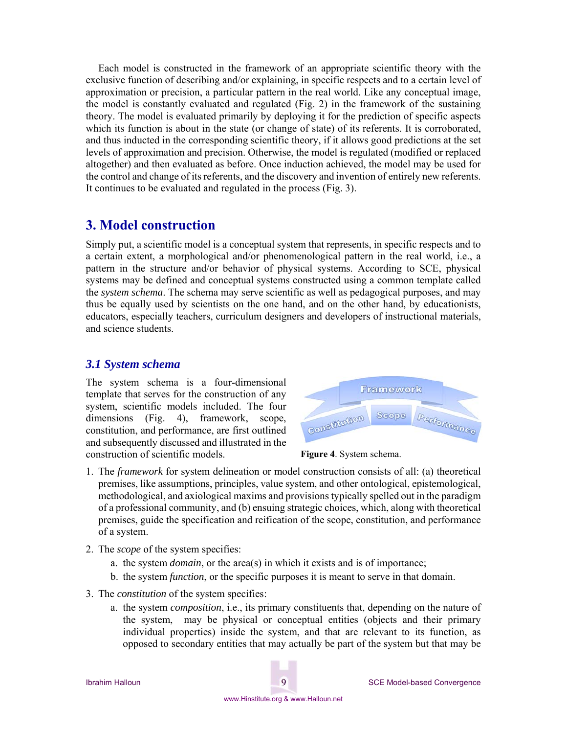Each model is constructed in the framework of an appropriate scientific theory with the exclusive function of describing and/or explaining, in specific respects and to a certain level of approximation or precision, a particular pattern in the real world. Like any conceptual image, the model is constantly evaluated and regulated (Fig. 2) in the framework of the sustaining theory. The model is evaluated primarily by deploying it for the prediction of specific aspects which its function is about in the state (or change of state) of its referents. It is corroborated, and thus inducted in the corresponding scientific theory, if it allows good predictions at the set levels of approximation and precision. Otherwise, the model is regulated (modified or replaced altogether) and then evaluated as before. Once induction achieved, the model may be used for the control and change of its referents, and the discovery and invention of entirely new referents. It continues to be evaluated and regulated in the process (Fig. 3).

## **3. Model construction**

Simply put, a scientific model is a conceptual system that represents, in specific respects and to a certain extent, a morphological and/or phenomenological pattern in the real world, i.e., a pattern in the structure and/or behavior of physical systems. According to SCE, physical systems may be defined and conceptual systems constructed using a common template called the *system schema*. The schema may serve scientific as well as pedagogical purposes, and may thus be equally used by scientists on the one hand, and on the other hand, by educationists, educators, especially teachers, curriculum designers and developers of instructional materials, and science students.

### *3.1 System schema*

The system schema is a four-dimensional template that serves for the construction of any system, scientific models included. The four dimensions (Fig. 4), framework, scope, constitution, and performance, are first outlined and subsequently discussed and illustrated in the construction of scientific models.





- 1. The *framework* for system delineation or model construction consists of all: (a) theoretical premises, like assumptions, principles, value system, and other ontological, epistemological, methodological, and axiological maxims and provisions typically spelled out in the paradigm of a professional community, and (b) ensuing strategic choices, which, along with theoretical premises, guide the specification and reification of the scope, constitution, and performance of a system.
- 2. The *scope* of the system specifies:
	- a. the system *domain*, or the area(s) in which it exists and is of importance;
	- b. the system *function*, or the specific purposes it is meant to serve in that domain.
- 3. The *constitution* of the system specifies:
	- a. the system *composition*, i.e., its primary constituents that, depending on the nature of the system, may be physical or conceptual entities (objects and their primary individual properties) inside the system, and that are relevant to its function, as opposed to secondary entities that may actually be part of the system but that may be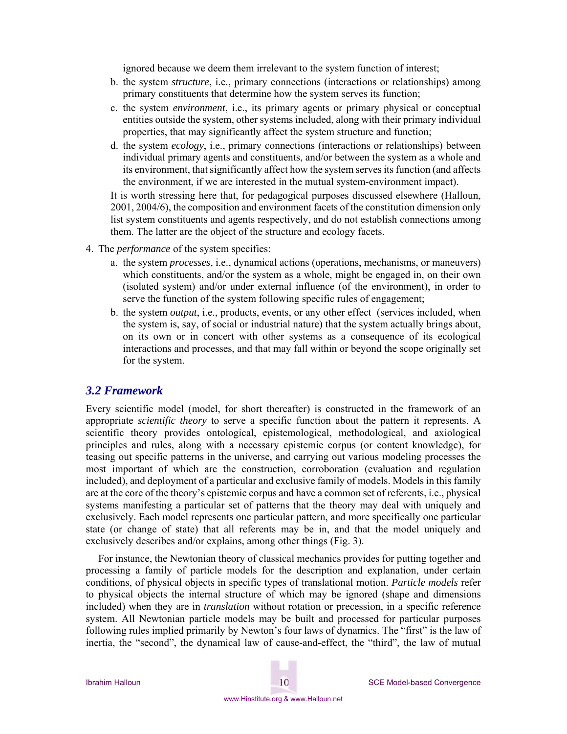ignored because we deem them irrelevant to the system function of interest;

- b. the system *structure*, i.e., primary connections (interactions or relationships) among primary constituents that determine how the system serves its function;
- c. the system *environment*, i.e., its primary agents or primary physical or conceptual entities outside the system, other systems included, along with their primary individual properties, that may significantly affect the system structure and function;
- d. the system *ecology*, i.e., primary connections (interactions or relationships) between individual primary agents and constituents, and/or between the system as a whole and its environment, that significantly affect how the system serves its function (and affects the environment, if we are interested in the mutual system-environment impact).

It is worth stressing here that, for pedagogical purposes discussed elsewhere (Halloun, 2001, 2004/6), the composition and environment facets of the constitution dimension only list system constituents and agents respectively, and do not establish connections among them. The latter are the object of the structure and ecology facets.

- 4. The *performance* of the system specifies:
	- a. the system *processes*, i.e., dynamical actions (operations, mechanisms, or maneuvers) which constituents, and/or the system as a whole, might be engaged in, on their own (isolated system) and/or under external influence (of the environment), in order to serve the function of the system following specific rules of engagement;
	- b. the system *output*, i.e., products, events, or any other effect (services included, when the system is, say, of social or industrial nature) that the system actually brings about, on its own or in concert with other systems as a consequence of its ecological interactions and processes, and that may fall within or beyond the scope originally set for the system.

#### *3.2 Framework*

Every scientific model (model, for short thereafter) is constructed in the framework of an appropriate *scientific theory* to serve a specific function about the pattern it represents. A scientific theory provides ontological, epistemological, methodological, and axiological principles and rules, along with a necessary epistemic corpus (or content knowledge), for teasing out specific patterns in the universe, and carrying out various modeling processes the most important of which are the construction, corroboration (evaluation and regulation included), and deployment of a particular and exclusive family of models. Models in this family are at the core of the theory's epistemic corpus and have a common set of referents, i.e., physical systems manifesting a particular set of patterns that the theory may deal with uniquely and exclusively. Each model represents one particular pattern, and more specifically one particular state (or change of state) that all referents may be in, and that the model uniquely and exclusively describes and/or explains, among other things (Fig. 3).

For instance, the Newtonian theory of classical mechanics provides for putting together and processing a family of particle models for the description and explanation, under certain conditions, of physical objects in specific types of translational motion. *Particle models* refer to physical objects the internal structure of which may be ignored (shape and dimensions included) when they are in *translation* without rotation or precession, in a specific reference system. All Newtonian particle models may be built and processed for particular purposes following rules implied primarily by Newton's four laws of dynamics. The "first" is the law of inertia, the "second", the dynamical law of cause-and-effect, the "third", the law of mutual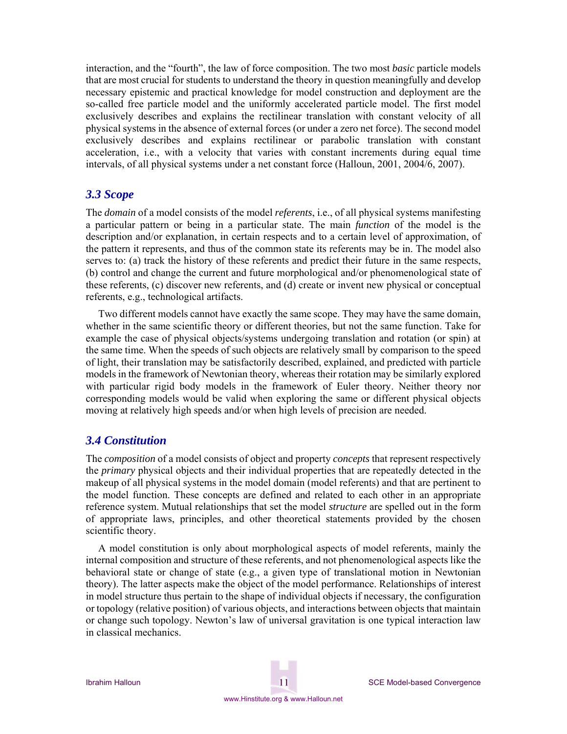interaction, and the "fourth", the law of force composition. The two most *basic* particle models that are most crucial for students to understand the theory in question meaningfully and develop necessary epistemic and practical knowledge for model construction and deployment are the so-called free particle model and the uniformly accelerated particle model. The first model exclusively describes and explains the rectilinear translation with constant velocity of all physical systems in the absence of external forces (or under a zero net force). The second model exclusively describes and explains rectilinear or parabolic translation with constant acceleration, i.e., with a velocity that varies with constant increments during equal time intervals, of all physical systems under a net constant force (Halloun, 2001, 2004/6, 2007).

## *3.3 Scope*

The *domain* of a model consists of the model *referents*, i.e., of all physical systems manifesting a particular pattern or being in a particular state. The main *function* of the model is the description and/or explanation, in certain respects and to a certain level of approximation, of the pattern it represents, and thus of the common state its referents may be in. The model also serves to: (a) track the history of these referents and predict their future in the same respects, (b) control and change the current and future morphological and/or phenomenological state of these referents, (c) discover new referents, and (d) create or invent new physical or conceptual referents, e.g., technological artifacts.

Two different models cannot have exactly the same scope. They may have the same domain, whether in the same scientific theory or different theories, but not the same function. Take for example the case of physical objects/systems undergoing translation and rotation (or spin) at the same time. When the speeds of such objects are relatively small by comparison to the speed of light, their translation may be satisfactorily described, explained, and predicted with particle models in the framework of Newtonian theory, whereas their rotation may be similarly explored with particular rigid body models in the framework of Euler theory. Neither theory nor corresponding models would be valid when exploring the same or different physical objects moving at relatively high speeds and/or when high levels of precision are needed.

### *3.4 Constitution*

The *composition* of a model consists of object and property *concepts* that represent respectively the *primary* physical objects and their individual properties that are repeatedly detected in the makeup of all physical systems in the model domain (model referents) and that are pertinent to the model function. These concepts are defined and related to each other in an appropriate reference system. Mutual relationships that set the model *structure* are spelled out in the form of appropriate laws, principles, and other theoretical statements provided by the chosen scientific theory.

A model constitution is only about morphological aspects of model referents, mainly the internal composition and structure of these referents, and not phenomenological aspects like the behavioral state or change of state (e.g., a given type of translational motion in Newtonian theory). The latter aspects make the object of the model performance. Relationships of interest in model structure thus pertain to the shape of individual objects if necessary, the configuration or topology (relative position) of various objects, and interactions between objects that maintain or change such topology. Newton's law of universal gravitation is one typical interaction law in classical mechanics.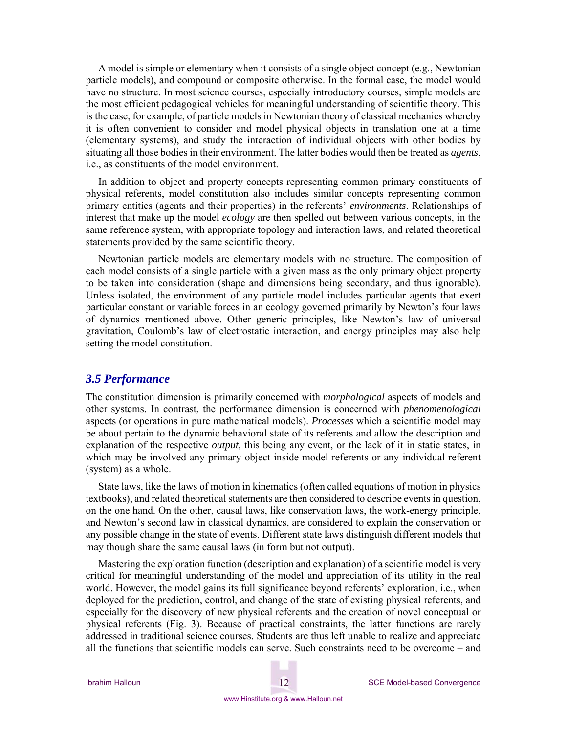A model is simple or elementary when it consists of a single object concept (e.g., Newtonian particle models), and compound or composite otherwise. In the formal case, the model would have no structure. In most science courses, especially introductory courses, simple models are the most efficient pedagogical vehicles for meaningful understanding of scientific theory. This is the case, for example, of particle models in Newtonian theory of classical mechanics whereby it is often convenient to consider and model physical objects in translation one at a time (elementary systems), and study the interaction of individual objects with other bodies by situating all those bodies in their environment. The latter bodies would then be treated as *agents*, i.e., as constituents of the model environment.

In addition to object and property concepts representing common primary constituents of physical referents, model constitution also includes similar concepts representing common primary entities (agents and their properties) in the referents' *environments*. Relationships of interest that make up the model *ecology* are then spelled out between various concepts, in the same reference system, with appropriate topology and interaction laws, and related theoretical statements provided by the same scientific theory.

Newtonian particle models are elementary models with no structure. The composition of each model consists of a single particle with a given mass as the only primary object property to be taken into consideration (shape and dimensions being secondary, and thus ignorable). Unless isolated, the environment of any particle model includes particular agents that exert particular constant or variable forces in an ecology governed primarily by Newton's four laws of dynamics mentioned above. Other generic principles, like Newton's law of universal gravitation, Coulomb's law of electrostatic interaction, and energy principles may also help setting the model constitution.

#### *3.5 Performance*

The constitution dimension is primarily concerned with *morphological* aspects of models and other systems. In contrast, the performance dimension is concerned with *phenomenological* aspects (or operations in pure mathematical models). *Processes* which a scientific model may be about pertain to the dynamic behavioral state of its referents and allow the description and explanation of the respective *output*, this being any event, or the lack of it in static states, in which may be involved any primary object inside model referents or any individual referent (system) as a whole.

State laws, like the laws of motion in kinematics (often called equations of motion in physics textbooks), and related theoretical statements are then considered to describe events in question, on the one hand. On the other, causal laws, like conservation laws, the work-energy principle, and Newton's second law in classical dynamics, are considered to explain the conservation or any possible change in the state of events. Different state laws distinguish different models that may though share the same causal laws (in form but not output).

Mastering the exploration function (description and explanation) of a scientific model is very critical for meaningful understanding of the model and appreciation of its utility in the real world. However, the model gains its full significance beyond referents' exploration, i.e., when deployed for the prediction, control, and change of the state of existing physical referents, and especially for the discovery of new physical referents and the creation of novel conceptual or physical referents (Fig. 3). Because of practical constraints, the latter functions are rarely addressed in traditional science courses. Students are thus left unable to realize and appreciate all the functions that scientific models can serve. Such constraints need to be overcome – and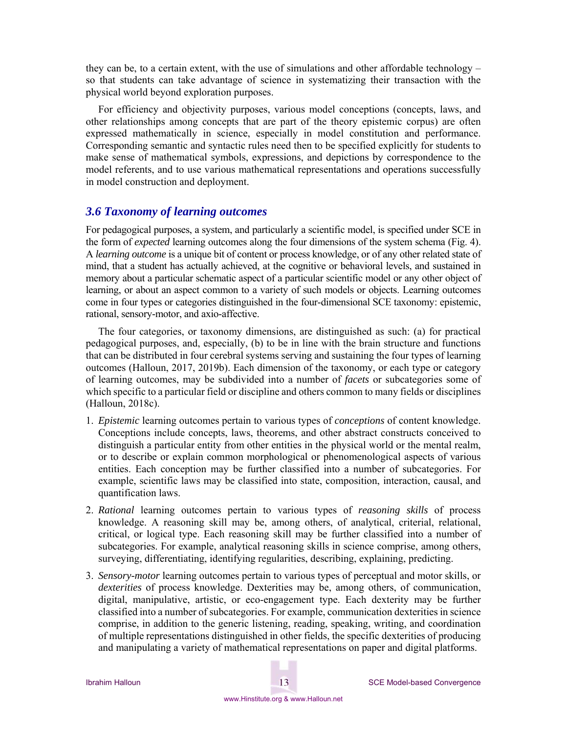they can be, to a certain extent, with the use of simulations and other affordable technology – so that students can take advantage of science in systematizing their transaction with the physical world beyond exploration purposes.

For efficiency and objectivity purposes, various model conceptions (concepts, laws, and other relationships among concepts that are part of the theory epistemic corpus) are often expressed mathematically in science, especially in model constitution and performance. Corresponding semantic and syntactic rules need then to be specified explicitly for students to make sense of mathematical symbols, expressions, and depictions by correspondence to the model referents, and to use various mathematical representations and operations successfully in model construction and deployment.

### *3.6 Taxonomy of learning outcomes*

For pedagogical purposes, a system, and particularly a scientific model, is specified under SCE in the form of *expected* learning outcomes along the four dimensions of the system schema (Fig. 4). A *learning outcome* is a unique bit of content or process knowledge, or of any other related state of mind, that a student has actually achieved, at the cognitive or behavioral levels, and sustained in memory about a particular schematic aspect of a particular scientific model or any other object of learning, or about an aspect common to a variety of such models or objects. Learning outcomes come in four types or categories distinguished in the four-dimensional SCE taxonomy: epistemic, rational, sensory-motor, and axio-affective.

The four categories, or taxonomy dimensions, are distinguished as such: (a) for practical pedagogical purposes, and, especially, (b) to be in line with the brain structure and functions that can be distributed in four cerebral systems serving and sustaining the four types of learning outcomes (Halloun, 2017, 2019b). Each dimension of the taxonomy, or each type or category of learning outcomes, may be subdivided into a number of *facets* or subcategories some of which specific to a particular field or discipline and others common to many fields or disciplines (Halloun, 2018c).

- 1. *Epistemic* learning outcomes pertain to various types of *conceptions* of content knowledge. Conceptions include concepts, laws, theorems, and other abstract constructs conceived to distinguish a particular entity from other entities in the physical world or the mental realm, or to describe or explain common morphological or phenomenological aspects of various entities. Each conception may be further classified into a number of subcategories. For example, scientific laws may be classified into state, composition, interaction, causal, and quantification laws.
- 2. *Rational* learning outcomes pertain to various types of *reasoning skills* of process knowledge. A reasoning skill may be, among others, of analytical, criterial, relational, critical, or logical type. Each reasoning skill may be further classified into a number of subcategories. For example, analytical reasoning skills in science comprise, among others, surveying, differentiating, identifying regularities, describing, explaining, predicting.
- 3. *Sensory-motor* learning outcomes pertain to various types of perceptual and motor skills, or *dexterities* of process knowledge. Dexterities may be, among others, of communication, digital, manipulative, artistic, or eco-engagement type. Each dexterity may be further classified into a number of subcategories. For example, communication dexterities in science comprise, in addition to the generic listening, reading, speaking, writing, and coordination of multiple representations distinguished in other fields, the specific dexterities of producing and manipulating a variety of mathematical representations on paper and digital platforms.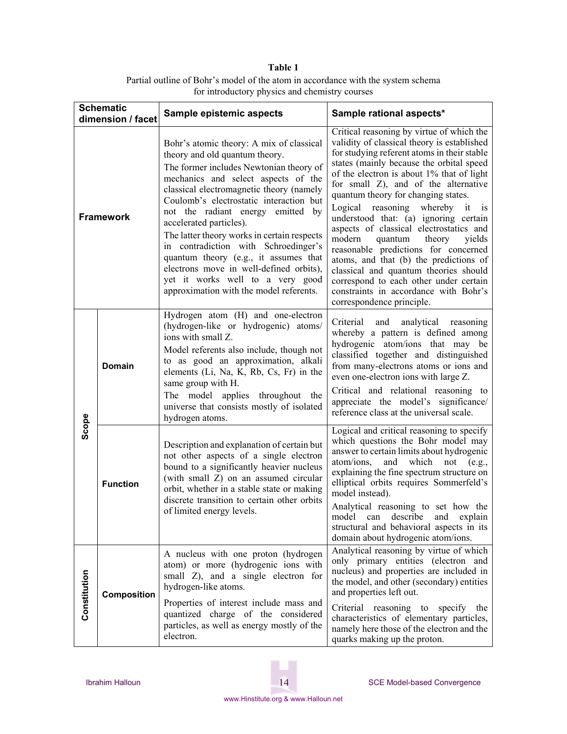## **Table 1**  Partial outline of Bohr's model of the atom in accordance with the system schema for introductory physics and chemistry courses

| <b>Schematic</b><br>dimension / facet |                 | Sample epistemic aspects                                                                                                                                                                                                                                                                                                                                                                                                                                                                                                                                                      | Sample rational aspects*                                                                                                                                                                                                                                                                                                                                                                                                                                                                                                                                                                                                                                                                                                             |
|---------------------------------------|-----------------|-------------------------------------------------------------------------------------------------------------------------------------------------------------------------------------------------------------------------------------------------------------------------------------------------------------------------------------------------------------------------------------------------------------------------------------------------------------------------------------------------------------------------------------------------------------------------------|--------------------------------------------------------------------------------------------------------------------------------------------------------------------------------------------------------------------------------------------------------------------------------------------------------------------------------------------------------------------------------------------------------------------------------------------------------------------------------------------------------------------------------------------------------------------------------------------------------------------------------------------------------------------------------------------------------------------------------------|
| <b>Framework</b>                      |                 | Bohr's atomic theory: A mix of classical<br>theory and old quantum theory.<br>The former includes Newtonian theory of<br>mechanics and select aspects of the<br>classical electromagnetic theory (namely<br>Coulomb's electrostatic interaction but<br>not the radiant energy emitted by<br>accelerated particles).<br>The latter theory works in certain respects<br>in contradiction with Schroedinger's<br>quantum theory (e.g., it assumes that<br>electrons move in well-defined orbits),<br>yet it works well to a very good<br>approximation with the model referents. | Critical reasoning by virtue of which the<br>validity of classical theory is established<br>for studying referent atoms in their stable<br>states (mainly because the orbital speed<br>of the electron is about 1% that of light<br>for small Z), and of the alternative<br>quantum theory for changing states.<br>Logical reasoning whereby it<br><b>1S</b><br>understood that: (a) ignoring certain<br>aspects of classical electrostatics and<br>modern<br>quantum<br>theory<br>yields<br>reasonable predictions for concerned<br>atoms, and that (b) the predictions of<br>classical and quantum theories should<br>correspond to each other under certain<br>constraints in accordance with Bohr's<br>correspondence principle. |
| Scope                                 | <b>Domain</b>   | Hydrogen atom (H) and one-electron<br>(hydrogen-like or hydrogenic) atoms/<br>ions with small Z.<br>Model referents also include, though not<br>to as good an approximation, alkali<br>elements (Li, Na, K, Rb, Cs, Fr) in the<br>same group with H.<br>The model applies throughout the<br>universe that consists mostly of isolated<br>hydrogen atoms.                                                                                                                                                                                                                      | Criterial<br>and<br>analytical reasoning<br>whereby a pattern is defined among<br>hydrogenic atom/ions that may be<br>classified together and distinguished<br>from many-electrons atoms or ions and<br>even one-electron ions with large Z.<br>Critical and relational reasoning to<br>appreciate the model's significance/<br>reference class at the universal scale.                                                                                                                                                                                                                                                                                                                                                              |
|                                       | <b>Function</b> | Description and explanation of certain but<br>not other aspects of a single electron<br>bound to a significantly heavier nucleus<br>(with small Z) on an assumed circular<br>orbit, whether in a stable state or making<br>discrete transition to certain other orbits<br>of limited energy levels.                                                                                                                                                                                                                                                                           | Logical and critical reasoning to specify<br>which questions the Bohr model may<br>answer to certain limits about hydrogenic<br>and which not (e.g.,<br>atom/ions,<br>explaining the fine spectrum structure on<br>elliptical orbits requires Sommerfeld's<br>model instead).<br>Analytical reasoning to set how the<br>model can describe and explain<br>structural and behavioral aspects in its<br>domain about hydrogenic atom/ions.                                                                                                                                                                                                                                                                                             |
| Constitution                          | Composition     | A nucleus with one proton (hydrogen<br>atom) or more (hydrogenic ions with<br>small Z), and a single electron for<br>hydrogen-like atoms.<br>Properties of interest include mass and<br>quantized charge of the considered<br>particles, as well as energy mostly of the<br>electron.                                                                                                                                                                                                                                                                                         | Analytical reasoning by virtue of which<br>only primary entities (electron and<br>nucleus) and properties are included in<br>the model, and other (secondary) entities<br>and properties left out.<br>Criterial reasoning to specify the<br>characteristics of elementary particles,<br>namely here those of the electron and the<br>quarks making up the proton.                                                                                                                                                                                                                                                                                                                                                                    |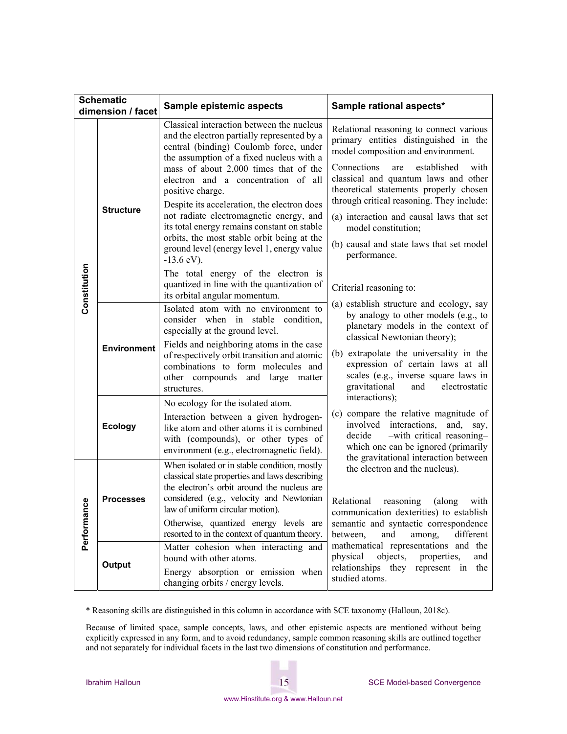| <b>Schematic</b>  |                    |                                                                                                                                                                                                                                                                                                                                                                                                                                                                                                                                                                                                                              |                                                                                                                                                                                                                                                                                                                                                                                                                                                                                                                                                     |  |
|-------------------|--------------------|------------------------------------------------------------------------------------------------------------------------------------------------------------------------------------------------------------------------------------------------------------------------------------------------------------------------------------------------------------------------------------------------------------------------------------------------------------------------------------------------------------------------------------------------------------------------------------------------------------------------------|-----------------------------------------------------------------------------------------------------------------------------------------------------------------------------------------------------------------------------------------------------------------------------------------------------------------------------------------------------------------------------------------------------------------------------------------------------------------------------------------------------------------------------------------------------|--|
| dimension / facet |                    | Sample epistemic aspects                                                                                                                                                                                                                                                                                                                                                                                                                                                                                                                                                                                                     | Sample rational aspects*                                                                                                                                                                                                                                                                                                                                                                                                                                                                                                                            |  |
| Constitution      | <b>Structure</b>   | Classical interaction between the nucleus<br>and the electron partially represented by a<br>central (binding) Coulomb force, under<br>the assumption of a fixed nucleus with a<br>mass of about 2,000 times that of the<br>electron and a concentration of all<br>positive charge.<br>Despite its acceleration, the electron does<br>not radiate electromagnetic energy, and<br>its total energy remains constant on stable<br>orbits, the most stable orbit being at the<br>ground level (energy level 1, energy value<br>$-13.6$ eV).<br>The total energy of the electron is<br>quantized in line with the quantization of | Relational reasoning to connect various<br>primary entities distinguished in the<br>model composition and environment.<br>Connections<br>established<br>with<br>are<br>classical and quantum laws and other<br>theoretical statements properly chosen<br>through critical reasoning. They include:<br>(a) interaction and causal laws that set<br>model constitution;<br>(b) causal and state laws that set model<br>performance.<br>Criterial reasoning to:                                                                                        |  |
|                   | <b>Environment</b> | its orbital angular momentum.<br>Isolated atom with no environment to<br>consider when in stable condition,<br>especially at the ground level.<br>Fields and neighboring atoms in the case<br>of respectively orbit transition and atomic<br>combinations to form molecules and<br>other compounds and large matter<br>structures.                                                                                                                                                                                                                                                                                           | (a) establish structure and ecology, say<br>by analogy to other models (e.g., to<br>planetary models in the context of<br>classical Newtonian theory);<br>(b) extrapolate the universality in the<br>expression of certain laws at all<br>scales (e.g., inverse square laws in<br>gravitational<br>and<br>electrostatic<br>interactions);<br>(c) compare the relative magnitude of<br>involved interactions,<br>and,<br>say,<br>-with critical reasoning-<br>decide<br>which one can be ignored (primarily<br>the gravitational interaction between |  |
|                   | <b>Ecology</b>     | No ecology for the isolated atom.<br>Interaction between a given hydrogen-<br>like atom and other atoms it is combined<br>with (compounds), or other types of<br>environment (e.g., electromagnetic field).                                                                                                                                                                                                                                                                                                                                                                                                                  |                                                                                                                                                                                                                                                                                                                                                                                                                                                                                                                                                     |  |
| ဇ္လ<br>Performano | <b>Processes</b>   | When isolated or in stable condition, mostly<br>classical state properties and laws describing<br>the electron's orbit around the nucleus are<br>considered (e.g., velocity and Newtonian<br>law of uniform circular motion).<br>Otherwise, quantized energy levels are<br>resorted to in the context of quantum theory.                                                                                                                                                                                                                                                                                                     | the electron and the nucleus).<br>Relational<br>reasoning<br>(along<br>with<br>communication dexterities) to establish<br>semantic and syntactic correspondence<br>between,<br>and<br>among,<br>different                                                                                                                                                                                                                                                                                                                                           |  |
|                   | Output             | Matter cohesion when interacting and<br>bound with other atoms.<br>Energy absorption or emission when<br>changing orbits / energy levels.                                                                                                                                                                                                                                                                                                                                                                                                                                                                                    | mathematical representations and the<br>objects,<br>physical<br>properties,<br>and<br>relationships they represent in the<br>studied atoms.                                                                                                                                                                                                                                                                                                                                                                                                         |  |

\* Reasoning skills are distinguished in this column in accordance with SCE taxonomy (Halloun, 2018c).

Because of limited space, sample concepts, laws, and other epistemic aspects are mentioned without being explicitly expressed in any form, and to avoid redundancy, sample common reasoning skills are outlined together and not separately for individual facets in the last two dimensions of constitution and performance.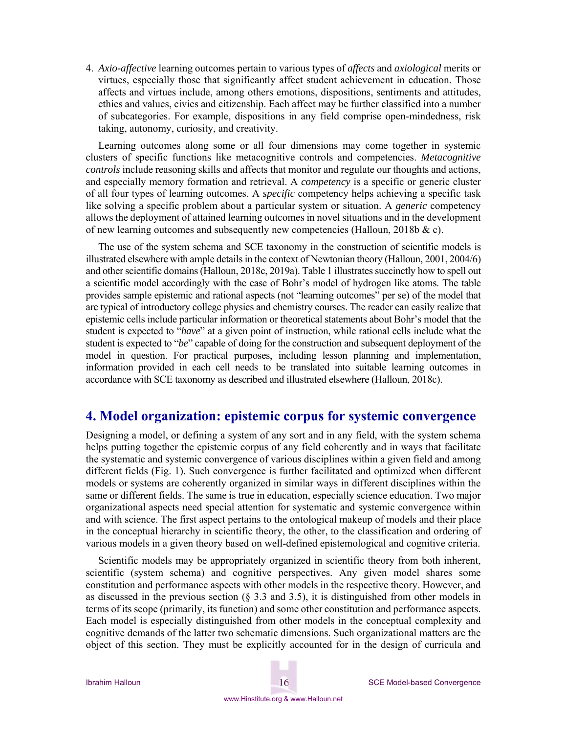4. *Axio-affective* learning outcomes pertain to various types of *affects* and *axiological* merits or virtues, especially those that significantly affect student achievement in education. Those affects and virtues include, among others emotions, dispositions, sentiments and attitudes, ethics and values, civics and citizenship. Each affect may be further classified into a number of subcategories. For example, dispositions in any field comprise open-mindedness, risk taking, autonomy, curiosity, and creativity.

Learning outcomes along some or all four dimensions may come together in systemic clusters of specific functions like metacognitive controls and competencies. *Metacognitive controls* include reasoning skills and affects that monitor and regulate our thoughts and actions, and especially memory formation and retrieval. A *competency* is a specific or generic cluster of all four types of learning outcomes. A *specific* competency helps achieving a specific task like solving a specific problem about a particular system or situation. A *generic* competency allows the deployment of attained learning outcomes in novel situations and in the development of new learning outcomes and subsequently new competencies (Halloun, 2018b & c).

The use of the system schema and SCE taxonomy in the construction of scientific models is illustrated elsewhere with ample details in the context of Newtonian theory (Halloun, 2001, 2004/6) and other scientific domains (Halloun, 2018c, 2019a). Table 1 illustrates succinctly how to spell out a scientific model accordingly with the case of Bohr's model of hydrogen like atoms. The table provides sample epistemic and rational aspects (not "learning outcomes" per se) of the model that are typical of introductory college physics and chemistry courses. The reader can easily realize that epistemic cells include particular information or theoretical statements about Bohr's model that the student is expected to "*have*" at a given point of instruction, while rational cells include what the student is expected to "*be*" capable of doing for the construction and subsequent deployment of the model in question. For practical purposes, including lesson planning and implementation, information provided in each cell needs to be translated into suitable learning outcomes in accordance with SCE taxonomy as described and illustrated elsewhere (Halloun, 2018c).

## **4. Model organization: epistemic corpus for systemic convergence**

Designing a model, or defining a system of any sort and in any field, with the system schema helps putting together the epistemic corpus of any field coherently and in ways that facilitate the systematic and systemic convergence of various disciplines within a given field and among different fields (Fig. 1). Such convergence is further facilitated and optimized when different models or systems are coherently organized in similar ways in different disciplines within the same or different fields. The same is true in education, especially science education. Two major organizational aspects need special attention for systematic and systemic convergence within and with science. The first aspect pertains to the ontological makeup of models and their place in the conceptual hierarchy in scientific theory, the other, to the classification and ordering of various models in a given theory based on well-defined epistemological and cognitive criteria.

Scientific models may be appropriately organized in scientific theory from both inherent, scientific (system schema) and cognitive perspectives. Any given model shares some constitution and performance aspects with other models in the respective theory. However, and as discussed in the previous section  $(\S 3.3 \text{ and } 3.5)$ , it is distinguished from other models in terms of its scope (primarily, its function) and some other constitution and performance aspects. Each model is especially distinguished from other models in the conceptual complexity and cognitive demands of the latter two schematic dimensions. Such organizational matters are the object of this section. They must be explicitly accounted for in the design of curricula and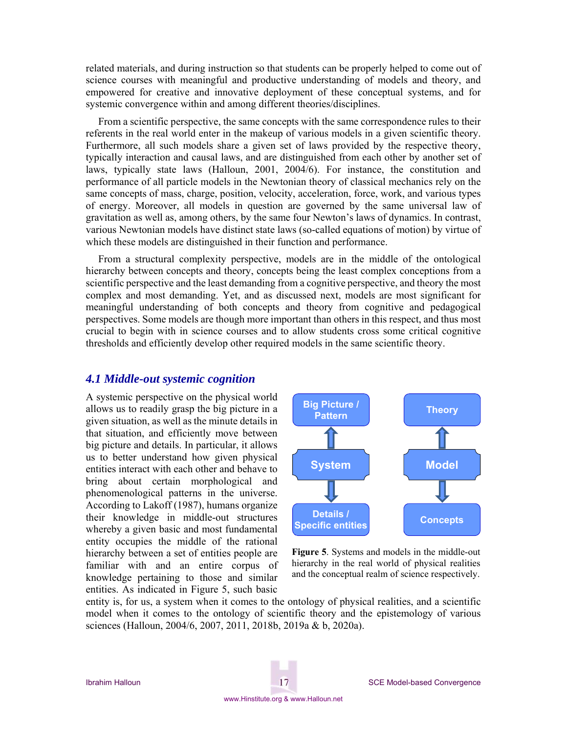related materials, and during instruction so that students can be properly helped to come out of science courses with meaningful and productive understanding of models and theory, and empowered for creative and innovative deployment of these conceptual systems, and for systemic convergence within and among different theories/disciplines.

From a scientific perspective, the same concepts with the same correspondence rules to their referents in the real world enter in the makeup of various models in a given scientific theory. Furthermore, all such models share a given set of laws provided by the respective theory, typically interaction and causal laws, and are distinguished from each other by another set of laws, typically state laws (Halloun, 2001, 2004/6). For instance, the constitution and performance of all particle models in the Newtonian theory of classical mechanics rely on the same concepts of mass, charge, position, velocity, acceleration, force, work, and various types of energy. Moreover, all models in question are governed by the same universal law of gravitation as well as, among others, by the same four Newton's laws of dynamics. In contrast, various Newtonian models have distinct state laws (so-called equations of motion) by virtue of which these models are distinguished in their function and performance.

From a structural complexity perspective, models are in the middle of the ontological hierarchy between concepts and theory, concepts being the least complex conceptions from a scientific perspective and the least demanding from a cognitive perspective, and theory the most complex and most demanding. Yet, and as discussed next, models are most significant for meaningful understanding of both concepts and theory from cognitive and pedagogical perspectives. Some models are though more important than others in this respect, and thus most crucial to begin with in science courses and to allow students cross some critical cognitive thresholds and efficiently develop other required models in the same scientific theory.

## *4.1 Middle-out systemic cognition*

A systemic perspective on the physical world allows us to readily grasp the big picture in a given situation, as well as the minute details in that situation, and efficiently move between big picture and details. In particular, it allows us to better understand how given physical entities interact with each other and behave to bring about certain morphological and phenomenological patterns in the universe. According to Lakoff (1987), humans organize their knowledge in middle-out structures whereby a given basic and most fundamental entity occupies the middle of the rational hierarchy between a set of entities people are familiar with and an entire corpus of knowledge pertaining to those and similar entities. As indicated in Figure 5, such basic



**Figure 5**. Systems and models in the middle-out hierarchy in the real world of physical realities and the conceptual realm of science respectively.

entity is, for us, a system when it comes to the ontology of physical realities, and a scientific model when it comes to the ontology of scientific theory and the epistemology of various sciences (Halloun, 2004/6, 2007, 2011, 2018b, 2019a & b, 2020a).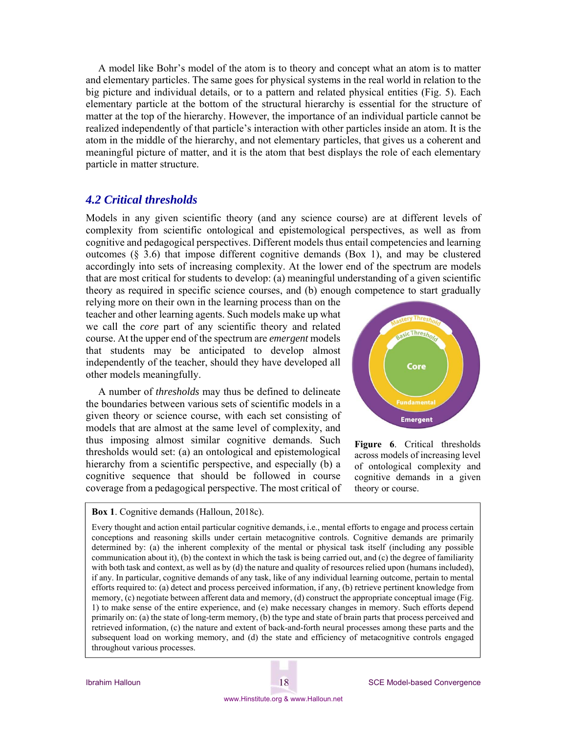A model like Bohr's model of the atom is to theory and concept what an atom is to matter and elementary particles. The same goes for physical systems in the real world in relation to the big picture and individual details, or to a pattern and related physical entities (Fig. 5). Each elementary particle at the bottom of the structural hierarchy is essential for the structure of matter at the top of the hierarchy. However, the importance of an individual particle cannot be realized independently of that particle's interaction with other particles inside an atom. It is the atom in the middle of the hierarchy, and not elementary particles, that gives us a coherent and meaningful picture of matter, and it is the atom that best displays the role of each elementary particle in matter structure.

## *4.2 Critical thresholds*

Models in any given scientific theory (and any science course) are at different levels of complexity from scientific ontological and epistemological perspectives, as well as from cognitive and pedagogical perspectives. Different models thus entail competencies and learning outcomes  $(\S$  3.6) that impose different cognitive demands (Box 1), and may be clustered accordingly into sets of increasing complexity. At the lower end of the spectrum are models that are most critical for students to develop: (a) meaningful understanding of a given scientific theory as required in specific science courses, and (b) enough competence to start gradually

relying more on their own in the learning process than on the teacher and other learning agents. Such models make up what we call the *core* part of any scientific theory and related course. At the upper end of the spectrum are *emergent* models that students may be anticipated to develop almost independently of the teacher, should they have developed all other models meaningfully.

A number of *thresholds* may thus be defined to delineate the boundaries between various sets of scientific models in a given theory or science course, with each set consisting of models that are almost at the same level of complexity, and thus imposing almost similar cognitive demands. Such thresholds would set: (a) an ontological and epistemological hierarchy from a scientific perspective, and especially (b) a cognitive sequence that should be followed in course coverage from a pedagogical perspective. The most critical of



**Figure 6**. Critical thresholds across models of increasing level of ontological complexity and cognitive demands in a given theory or course.

**Box 1**. Cognitive demands (Halloun, 2018c).

Every thought and action entail particular cognitive demands, i.e., mental efforts to engage and process certain conceptions and reasoning skills under certain metacognitive controls. Cognitive demands are primarily determined by: (a) the inherent complexity of the mental or physical task itself (including any possible communication about it), (b) the context in which the task is being carried out, and (c) the degree of familiarity with both task and context, as well as by (d) the nature and quality of resources relied upon (humans included), if any. In particular, cognitive demands of any task, like of any individual learning outcome, pertain to mental efforts required to: (a) detect and process perceived information, if any, (b) retrieve pertinent knowledge from memory, (c) negotiate between afferent data and memory, (d) construct the appropriate conceptual image (Fig. 1) to make sense of the entire experience, and (e) make necessary changes in memory. Such efforts depend primarily on: (a) the state of long-term memory, (b) the type and state of brain parts that process perceived and retrieved information, (c) the nature and extent of back-and-forth neural processes among these parts and the subsequent load on working memory, and (d) the state and efficiency of metacognitive controls engaged throughout various processes.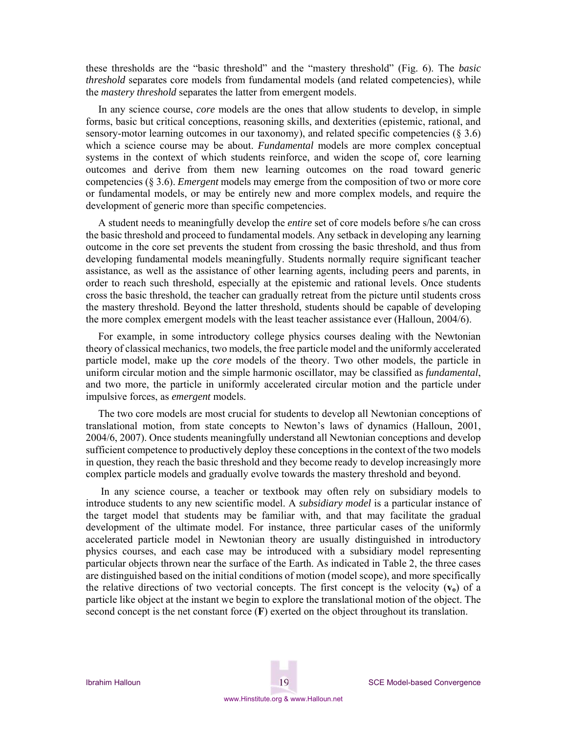these thresholds are the "basic threshold" and the "mastery threshold" (Fig. 6). The *basic threshold* separates core models from fundamental models (and related competencies), while the *mastery threshold* separates the latter from emergent models.

In any science course, *core* models are the ones that allow students to develop, in simple forms, basic but critical conceptions, reasoning skills, and dexterities (epistemic, rational, and sensory-motor learning outcomes in our taxonomy), and related specific competencies  $(\S 3.6)$ which a science course may be about. *Fundamental* models are more complex conceptual systems in the context of which students reinforce, and widen the scope of, core learning outcomes and derive from them new learning outcomes on the road toward generic competencies (§ 3.6). *Emergent* models may emerge from the composition of two or more core or fundamental models, or may be entirely new and more complex models, and require the development of generic more than specific competencies.

A student needs to meaningfully develop the *entire* set of core models before s/he can cross the basic threshold and proceed to fundamental models. Any setback in developing any learning outcome in the core set prevents the student from crossing the basic threshold, and thus from developing fundamental models meaningfully. Students normally require significant teacher assistance, as well as the assistance of other learning agents, including peers and parents, in order to reach such threshold, especially at the epistemic and rational levels. Once students cross the basic threshold, the teacher can gradually retreat from the picture until students cross the mastery threshold. Beyond the latter threshold, students should be capable of developing the more complex emergent models with the least teacher assistance ever (Halloun, 2004/6).

For example, in some introductory college physics courses dealing with the Newtonian theory of classical mechanics, two models, the free particle model and the uniformly accelerated particle model, make up the *core* models of the theory. Two other models, the particle in uniform circular motion and the simple harmonic oscillator, may be classified as *fundamental*, and two more, the particle in uniformly accelerated circular motion and the particle under impulsive forces, as *emergent* models.

The two core models are most crucial for students to develop all Newtonian conceptions of translational motion, from state concepts to Newton's laws of dynamics (Halloun, 2001, 2004/6, 2007). Once students meaningfully understand all Newtonian conceptions and develop sufficient competence to productively deploy these conceptions in the context of the two models in question, they reach the basic threshold and they become ready to develop increasingly more complex particle models and gradually evolve towards the mastery threshold and beyond.

 In any science course, a teacher or textbook may often rely on subsidiary models to introduce students to any new scientific model. A *subsidiary model* is a particular instance of the target model that students may be familiar with, and that may facilitate the gradual development of the ultimate model. For instance, three particular cases of the uniformly accelerated particle model in Newtonian theory are usually distinguished in introductory physics courses, and each case may be introduced with a subsidiary model representing particular objects thrown near the surface of the Earth. As indicated in Table 2, the three cases are distinguished based on the initial conditions of motion (model scope), and more specifically the relative directions of two vectorial concepts. The first concept is the velocity  $(v_0)$  of a particle like object at the instant we begin to explore the translational motion of the object. The second concept is the net constant force (**F**) exerted on the object throughout its translation.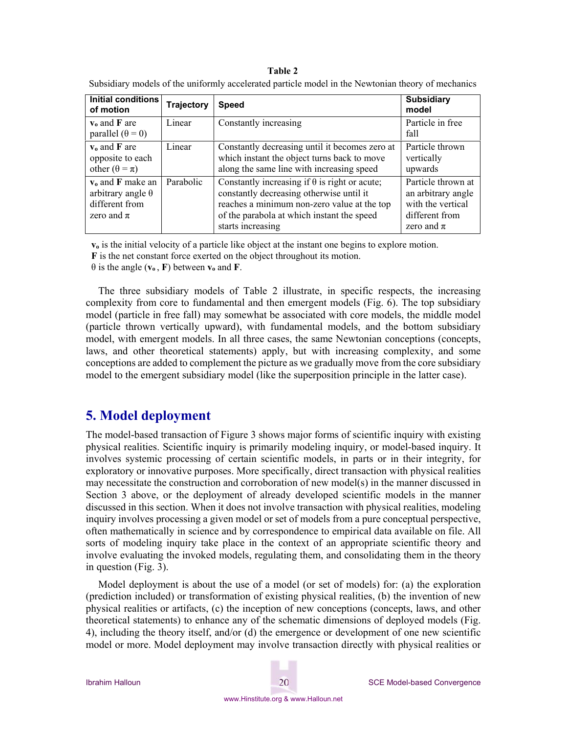#### **Table 2**

| Subsidiary models of the uniformly accelerated particle model in the Newtonian theory of mechanics |
|----------------------------------------------------------------------------------------------------|
|----------------------------------------------------------------------------------------------------|

| Initial conditions<br>of motion                                                     | <b>Trajectory</b> | <b>Speed</b>                                                                                                                                                                                                       | <b>Subsidiary</b><br>model                                                                        |
|-------------------------------------------------------------------------------------|-------------------|--------------------------------------------------------------------------------------------------------------------------------------------------------------------------------------------------------------------|---------------------------------------------------------------------------------------------------|
| $v_0$ and F are<br>parallel $(\theta = 0)$                                          | Linear            | Constantly increasing                                                                                                                                                                                              | Particle in free<br>fall                                                                          |
| $v_0$ and $F$ are<br>opposite to each<br>other $(\theta = \pi)$                     | Linear            | Constantly decreasing until it becomes zero at<br>which instant the object turns back to move<br>along the same line with increasing speed                                                                         | Particle thrown<br>vertically<br>upwards                                                          |
| $v_0$ and F make an<br>arbitrary angle $\theta$<br>different from<br>zero and $\pi$ | Parabolic         | Constantly increasing if $\theta$ is right or acute;<br>constantly decreasing otherwise until it<br>reaches a minimum non-zero value at the top<br>of the parabola at which instant the speed<br>starts increasing | Particle thrown at<br>an arbitrary angle<br>with the vertical<br>different from<br>zero and $\pi$ |

**vo** is the initial velocity of a particle like object at the instant one begins to explore motion.

**F** is the net constant force exerted on the object throughout its motion.

 $\theta$  is the angle ( $v_0$ , F) between  $v_0$  and F.

The three subsidiary models of Table 2 illustrate, in specific respects, the increasing complexity from core to fundamental and then emergent models (Fig. 6). The top subsidiary model (particle in free fall) may somewhat be associated with core models, the middle model (particle thrown vertically upward), with fundamental models, and the bottom subsidiary model, with emergent models. In all three cases, the same Newtonian conceptions (concepts, laws, and other theoretical statements) apply, but with increasing complexity, and some conceptions are added to complement the picture as we gradually move from the core subsidiary model to the emergent subsidiary model (like the superposition principle in the latter case).

## **5. Model deployment**

The model-based transaction of Figure 3 shows major forms of scientific inquiry with existing physical realities. Scientific inquiry is primarily modeling inquiry, or model-based inquiry. It involves systemic processing of certain scientific models, in parts or in their integrity, for exploratory or innovative purposes. More specifically, direct transaction with physical realities may necessitate the construction and corroboration of new model(s) in the manner discussed in Section 3 above, or the deployment of already developed scientific models in the manner discussed in this section. When it does not involve transaction with physical realities, modeling inquiry involves processing a given model or set of models from a pure conceptual perspective, often mathematically in science and by correspondence to empirical data available on file. All sorts of modeling inquiry take place in the context of an appropriate scientific theory and involve evaluating the invoked models, regulating them, and consolidating them in the theory in question (Fig. 3).

Model deployment is about the use of a model (or set of models) for: (a) the exploration (prediction included) or transformation of existing physical realities, (b) the invention of new physical realities or artifacts, (c) the inception of new conceptions (concepts, laws, and other theoretical statements) to enhance any of the schematic dimensions of deployed models (Fig. 4), including the theory itself, and/or (d) the emergence or development of one new scientific model or more. Model deployment may involve transaction directly with physical realities or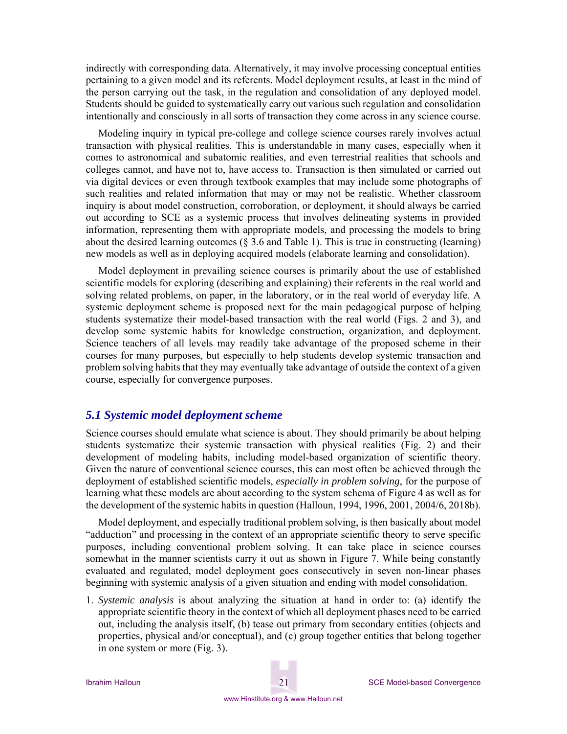indirectly with corresponding data. Alternatively, it may involve processing conceptual entities pertaining to a given model and its referents. Model deployment results, at least in the mind of the person carrying out the task, in the regulation and consolidation of any deployed model. Students should be guided to systematically carry out various such regulation and consolidation intentionally and consciously in all sorts of transaction they come across in any science course.

Modeling inquiry in typical pre-college and college science courses rarely involves actual transaction with physical realities. This is understandable in many cases, especially when it comes to astronomical and subatomic realities, and even terrestrial realities that schools and colleges cannot, and have not to, have access to. Transaction is then simulated or carried out via digital devices or even through textbook examples that may include some photographs of such realities and related information that may or may not be realistic. Whether classroom inquiry is about model construction, corroboration, or deployment, it should always be carried out according to SCE as a systemic process that involves delineating systems in provided information, representing them with appropriate models, and processing the models to bring about the desired learning outcomes (§ 3.6 and Table 1). This is true in constructing (learning) new models as well as in deploying acquired models (elaborate learning and consolidation).

Model deployment in prevailing science courses is primarily about the use of established scientific models for exploring (describing and explaining) their referents in the real world and solving related problems, on paper, in the laboratory, or in the real world of everyday life. A systemic deployment scheme is proposed next for the main pedagogical purpose of helping students systematize their model-based transaction with the real world (Figs. 2 and 3), and develop some systemic habits for knowledge construction, organization, and deployment. Science teachers of all levels may readily take advantage of the proposed scheme in their courses for many purposes, but especially to help students develop systemic transaction and problem solving habits that they may eventually take advantage of outside the context of a given course, especially for convergence purposes.

#### *5.1 Systemic model deployment scheme*

Science courses should emulate what science is about. They should primarily be about helping students systematize their systemic transaction with physical realities (Fig. 2) and their development of modeling habits, including model-based organization of scientific theory. Given the nature of conventional science courses, this can most often be achieved through the deployment of established scientific models, *especially in problem solving*, for the purpose of learning what these models are about according to the system schema of Figure 4 as well as for the development of the systemic habits in question (Halloun, 1994, 1996, 2001, 2004/6, 2018b).

Model deployment, and especially traditional problem solving, is then basically about model "adduction" and processing in the context of an appropriate scientific theory to serve specific purposes, including conventional problem solving. It can take place in science courses somewhat in the manner scientists carry it out as shown in Figure 7. While being constantly evaluated and regulated, model deployment goes consecutively in seven non-linear phases beginning with systemic analysis of a given situation and ending with model consolidation.

1. *Systemic analysis* is about analyzing the situation at hand in order to: (a) identify the appropriate scientific theory in the context of which all deployment phases need to be carried out, including the analysis itself, (b) tease out primary from secondary entities (objects and properties, physical and/or conceptual), and (c) group together entities that belong together in one system or more (Fig. 3).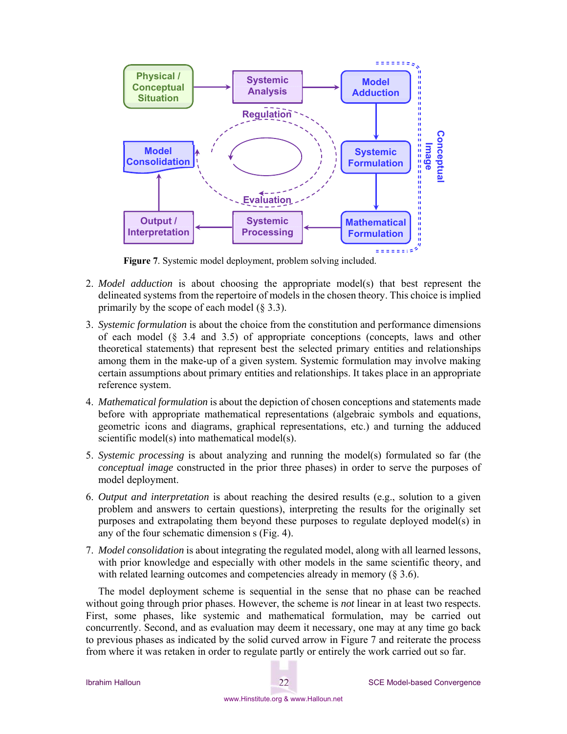

**Figure 7**. Systemic model deployment, problem solving included.

- 2. *Model adduction* is about choosing the appropriate model(s) that best represent the delineated systems from the repertoire of models in the chosen theory. This choice is implied primarily by the scope of each model  $(8, 3.3)$ .
- 3. *Systemic formulation* is about the choice from the constitution and performance dimensions of each model  $(\S$  3.4 and 3.5) of appropriate conceptions (concepts, laws and other theoretical statements) that represent best the selected primary entities and relationships among them in the make-up of a given system. Systemic formulation may involve making certain assumptions about primary entities and relationships. It takes place in an appropriate reference system.
- 4. *Mathematical formulation* is about the depiction of chosen conceptions and statements made before with appropriate mathematical representations (algebraic symbols and equations, geometric icons and diagrams, graphical representations, etc.) and turning the adduced scientific model(s) into mathematical model(s).
- 5. *Systemic processing* is about analyzing and running the model(s) formulated so far (the *conceptual image* constructed in the prior three phases) in order to serve the purposes of model deployment.
- 6. *Output and interpretation* is about reaching the desired results (e.g., solution to a given problem and answers to certain questions), interpreting the results for the originally set purposes and extrapolating them beyond these purposes to regulate deployed model(s) in any of the four schematic dimension s (Fig. 4).
- 7. *Model consolidation* is about integrating the regulated model, along with all learned lessons, with prior knowledge and especially with other models in the same scientific theory, and with related learning outcomes and competencies already in memory (§ 3.6).

The model deployment scheme is sequential in the sense that no phase can be reached without going through prior phases. However, the scheme is *not* linear in at least two respects. First, some phases, like systemic and mathematical formulation, may be carried out concurrently. Second, and as evaluation may deem it necessary, one may at any time go back to previous phases as indicated by the solid curved arrow in Figure 7 and reiterate the process from where it was retaken in order to regulate partly or entirely the work carried out so far.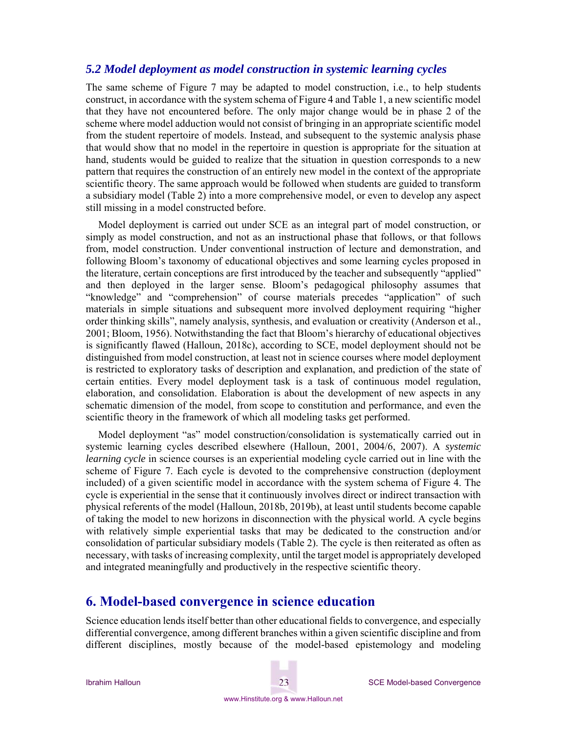## *5.2 Model deployment as model construction in systemic learning cycles*

The same scheme of Figure 7 may be adapted to model construction, i.e., to help students construct, in accordance with the system schema of Figure 4 and Table 1, a new scientific model that they have not encountered before. The only major change would be in phase 2 of the scheme where model adduction would not consist of bringing in an appropriate scientific model from the student repertoire of models. Instead, and subsequent to the systemic analysis phase that would show that no model in the repertoire in question is appropriate for the situation at hand, students would be guided to realize that the situation in question corresponds to a new pattern that requires the construction of an entirely new model in the context of the appropriate scientific theory. The same approach would be followed when students are guided to transform a subsidiary model (Table 2) into a more comprehensive model, or even to develop any aspect still missing in a model constructed before.

Model deployment is carried out under SCE as an integral part of model construction, or simply as model construction, and not as an instructional phase that follows, or that follows from, model construction. Under conventional instruction of lecture and demonstration, and following Bloom's taxonomy of educational objectives and some learning cycles proposed in the literature, certain conceptions are first introduced by the teacher and subsequently "applied" and then deployed in the larger sense. Bloom's pedagogical philosophy assumes that "knowledge" and "comprehension" of course materials precedes "application" of such materials in simple situations and subsequent more involved deployment requiring "higher order thinking skills", namely analysis, synthesis, and evaluation or creativity (Anderson et al., 2001; Bloom, 1956). Notwithstanding the fact that Bloom's hierarchy of educational objectives is significantly flawed (Halloun, 2018c), according to SCE, model deployment should not be distinguished from model construction, at least not in science courses where model deployment is restricted to exploratory tasks of description and explanation, and prediction of the state of certain entities. Every model deployment task is a task of continuous model regulation, elaboration, and consolidation. Elaboration is about the development of new aspects in any schematic dimension of the model, from scope to constitution and performance, and even the scientific theory in the framework of which all modeling tasks get performed.

Model deployment "as" model construction/consolidation is systematically carried out in systemic learning cycles described elsewhere (Halloun, 2001, 2004/6, 2007). A *systemic learning cycle* in science courses is an experiential modeling cycle carried out in line with the scheme of Figure 7. Each cycle is devoted to the comprehensive construction (deployment included) of a given scientific model in accordance with the system schema of Figure 4. The cycle is experiential in the sense that it continuously involves direct or indirect transaction with physical referents of the model (Halloun, 2018b, 2019b), at least until students become capable of taking the model to new horizons in disconnection with the physical world. A cycle begins with relatively simple experiential tasks that may be dedicated to the construction and/or consolidation of particular subsidiary models (Table 2). The cycle is then reiterated as often as necessary, with tasks of increasing complexity, until the target model is appropriately developed and integrated meaningfully and productively in the respective scientific theory.

## **6. Model-based convergence in science education**

Science education lends itself better than other educational fields to convergence, and especially differential convergence, among different branches within a given scientific discipline and from different disciplines, mostly because of the model-based epistemology and modeling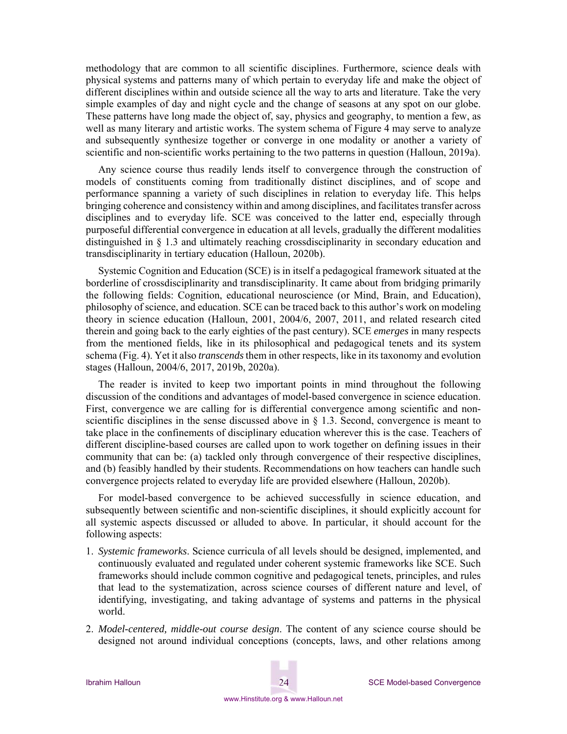methodology that are common to all scientific disciplines. Furthermore, science deals with physical systems and patterns many of which pertain to everyday life and make the object of different disciplines within and outside science all the way to arts and literature. Take the very simple examples of day and night cycle and the change of seasons at any spot on our globe. These patterns have long made the object of, say, physics and geography, to mention a few, as well as many literary and artistic works. The system schema of Figure 4 may serve to analyze and subsequently synthesize together or converge in one modality or another a variety of scientific and non-scientific works pertaining to the two patterns in question (Halloun, 2019a).

Any science course thus readily lends itself to convergence through the construction of models of constituents coming from traditionally distinct disciplines, and of scope and performance spanning a variety of such disciplines in relation to everyday life. This helps bringing coherence and consistency within and among disciplines, and facilitates transfer across disciplines and to everyday life. SCE was conceived to the latter end, especially through purposeful differential convergence in education at all levels, gradually the different modalities distinguished in § 1.3 and ultimately reaching crossdisciplinarity in secondary education and transdisciplinarity in tertiary education (Halloun, 2020b).

Systemic Cognition and Education (SCE) is in itself a pedagogical framework situated at the borderline of crossdisciplinarity and transdisciplinarity. It came about from bridging primarily the following fields: Cognition, educational neuroscience (or Mind, Brain, and Education), philosophy of science, and education. SCE can be traced back to this author's work on modeling theory in science education (Halloun, 2001, 2004/6, 2007, 2011, and related research cited therein and going back to the early eighties of the past century). SCE *emerges* in many respects from the mentioned fields, like in its philosophical and pedagogical tenets and its system schema (Fig. 4). Yet it also *transcends* them in other respects, like in its taxonomy and evolution stages (Halloun, 2004/6, 2017, 2019b, 2020a).

The reader is invited to keep two important points in mind throughout the following discussion of the conditions and advantages of model-based convergence in science education. First, convergence we are calling for is differential convergence among scientific and nonscientific disciplines in the sense discussed above in  $\S$  1.3. Second, convergence is meant to take place in the confinements of disciplinary education wherever this is the case. Teachers of different discipline-based courses are called upon to work together on defining issues in their community that can be: (a) tackled only through convergence of their respective disciplines, and (b) feasibly handled by their students. Recommendations on how teachers can handle such convergence projects related to everyday life are provided elsewhere (Halloun, 2020b).

For model-based convergence to be achieved successfully in science education, and subsequently between scientific and non-scientific disciplines, it should explicitly account for all systemic aspects discussed or alluded to above. In particular, it should account for the following aspects:

- 1. *Systemic frameworks*. Science curricula of all levels should be designed, implemented, and continuously evaluated and regulated under coherent systemic frameworks like SCE. Such frameworks should include common cognitive and pedagogical tenets, principles, and rules that lead to the systematization, across science courses of different nature and level, of identifying, investigating, and taking advantage of systems and patterns in the physical world.
- 2. *Model-centered, middle-out course design*. The content of any science course should be designed not around individual conceptions (concepts, laws, and other relations among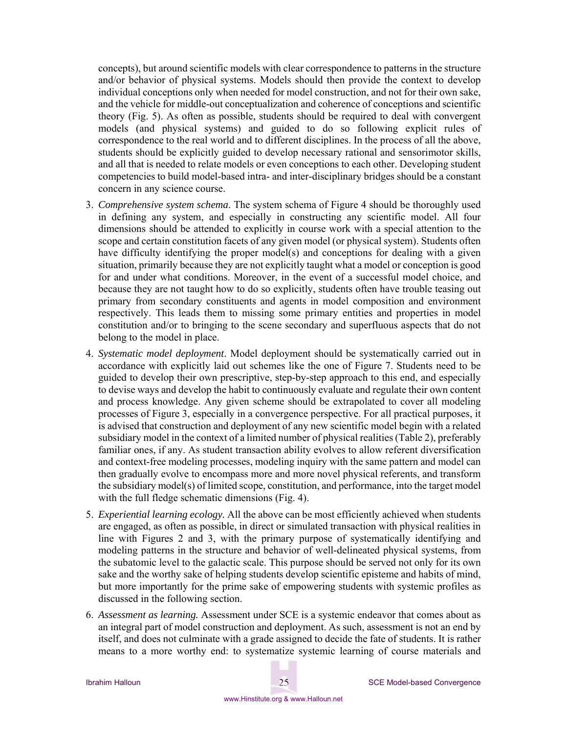concepts), but around scientific models with clear correspondence to patterns in the structure and/or behavior of physical systems. Models should then provide the context to develop individual conceptions only when needed for model construction, and not for their own sake, and the vehicle for middle-out conceptualization and coherence of conceptions and scientific theory (Fig. 5). As often as possible, students should be required to deal with convergent models (and physical systems) and guided to do so following explicit rules of correspondence to the real world and to different disciplines. In the process of all the above, students should be explicitly guided to develop necessary rational and sensorimotor skills, and all that is needed to relate models or even conceptions to each other. Developing student competencies to build model-based intra- and inter-disciplinary bridges should be a constant concern in any science course.

- 3. *Comprehensive system schema*. The system schema of Figure 4 should be thoroughly used in defining any system, and especially in constructing any scientific model. All four dimensions should be attended to explicitly in course work with a special attention to the scope and certain constitution facets of any given model (or physical system). Students often have difficulty identifying the proper model(s) and conceptions for dealing with a given situation, primarily because they are not explicitly taught what a model or conception is good for and under what conditions. Moreover, in the event of a successful model choice, and because they are not taught how to do so explicitly, students often have trouble teasing out primary from secondary constituents and agents in model composition and environment respectively. This leads them to missing some primary entities and properties in model constitution and/or to bringing to the scene secondary and superfluous aspects that do not belong to the model in place.
- 4. *Systematic model deployment*. Model deployment should be systematically carried out in accordance with explicitly laid out schemes like the one of Figure 7. Students need to be guided to develop their own prescriptive, step-by-step approach to this end, and especially to devise ways and develop the habit to continuously evaluate and regulate their own content and process knowledge. Any given scheme should be extrapolated to cover all modeling processes of Figure 3, especially in a convergence perspective. For all practical purposes, it is advised that construction and deployment of any new scientific model begin with a related subsidiary model in the context of a limited number of physical realities (Table 2), preferably familiar ones, if any. As student transaction ability evolves to allow referent diversification and context-free modeling processes, modeling inquiry with the same pattern and model can then gradually evolve to encompass more and more novel physical referents, and transform the subsidiary model(s) of limited scope, constitution, and performance, into the target model with the full fledge schematic dimensions (Fig. 4).
- 5. *Experiential learning ecology.* All the above can be most efficiently achieved when students are engaged, as often as possible, in direct or simulated transaction with physical realities in line with Figures 2 and 3, with the primary purpose of systematically identifying and modeling patterns in the structure and behavior of well-delineated physical systems, from the subatomic level to the galactic scale. This purpose should be served not only for its own sake and the worthy sake of helping students develop scientific episteme and habits of mind, but more importantly for the prime sake of empowering students with systemic profiles as discussed in the following section.
- 6. *Assessment as learning.* Assessment under SCE is a systemic endeavor that comes about as an integral part of model construction and deployment. As such, assessment is not an end by itself, and does not culminate with a grade assigned to decide the fate of students. It is rather means to a more worthy end: to systematize systemic learning of course materials and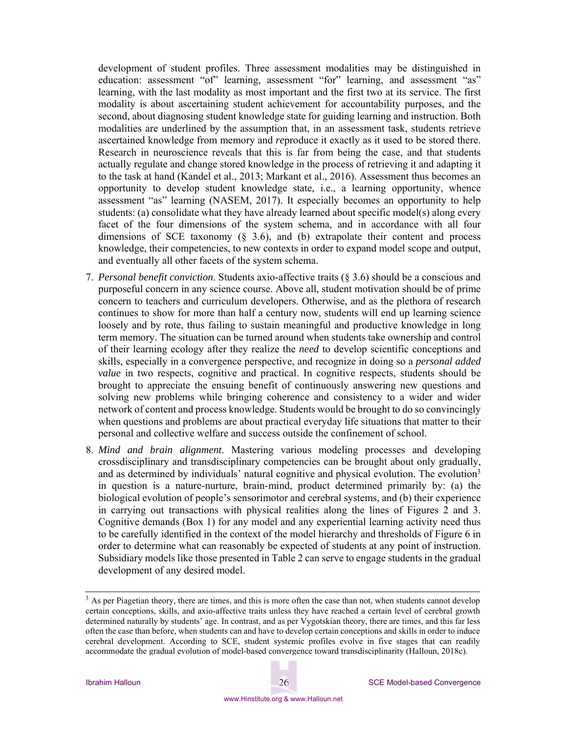development of student profiles. Three assessment modalities may be distinguished in education: assessment "of" learning, assessment "for" learning, and assessment "as" learning, with the last modality as most important and the first two at its service. The first modality is about ascertaining student achievement for accountability purposes, and the second, about diagnosing student knowledge state for guiding learning and instruction. Both modalities are underlined by the assumption that, in an assessment task, students retrieve ascertained knowledge from memory and *re*produce it exactly as it used to be stored there. Research in neuroscience reveals that this is far from being the case, and that students actually regulate and change stored knowledge in the process of retrieving it and adapting it to the task at hand (Kandel et al., 2013; Markant et al., 2016). Assessment thus becomes an opportunity to develop student knowledge state, i.e., a learning opportunity, whence assessment "as" learning (NASEM, 2017). It especially becomes an opportunity to help students: (a) consolidate what they have already learned about specific model(s) along every facet of the four dimensions of the system schema, and in accordance with all four dimensions of SCE taxonomy  $(8, 3.6)$ , and (b) extrapolate their content and process knowledge, their competencies, to new contexts in order to expand model scope and output, and eventually all other facets of the system schema.

- 7. *Personal benefit conviction*. Students axio-affective traits (§ 3.6) should be a conscious and purposeful concern in any science course. Above all, student motivation should be of prime concern to teachers and curriculum developers. Otherwise, and as the plethora of research continues to show for more than half a century now, students will end up learning science loosely and by rote, thus failing to sustain meaningful and productive knowledge in long term memory. The situation can be turned around when students take ownership and control of their learning ecology after they realize the *need* to develop scientific conceptions and skills, especially in a convergence perspective, and recognize in doing so a *personal added value* in two respects, cognitive and practical. In cognitive respects, students should be brought to appreciate the ensuing benefit of continuously answering new questions and solving new problems while bringing coherence and consistency to a wider and wider network of content and process knowledge. Students would be brought to do so convincingly when questions and problems are about practical everyday life situations that matter to their personal and collective welfare and success outside the confinement of school.
- 8. *Mind and brain alignment*. Mastering various modeling processes and developing crossdisciplinary and transdisciplinary competencies can be brought about only gradually, and as determined by individuals' natural cognitive and physical evolution. The evolution<sup>3</sup> in question is a nature-nurture, brain-mind, product determined primarily by: (a) the biological evolution of people's sensorimotor and cerebral systems, and (b) their experience in carrying out transactions with physical realities along the lines of Figures 2 and 3. Cognitive demands (Box 1) for any model and any experiential learning activity need thus to be carefully identified in the context of the model hierarchy and thresholds of Figure 6 in order to determine what can reasonably be expected of students at any point of instruction. Subsidiary models like those presented in Table 2 can serve to engage students in the gradual development of any desired model.

<sup>&</sup>lt;sup>3</sup> As per Piagetian theory, there are times, and this is more often the case than not, when students cannot develop certain conceptions, skills, and axio-affective traits unless they have reached a certain level of cerebral growth determined naturally by students' age. In contrast, and as per Vygotskian theory, there are times, and this far less often the case than before, when students can and have to develop certain conceptions and skills in order to induce cerebral development. According to SCE, student systemic profiles evolve in five stages that can readily accommodate the gradual evolution of model-based convergence toward transdisciplinarity (Halloun, 2018c).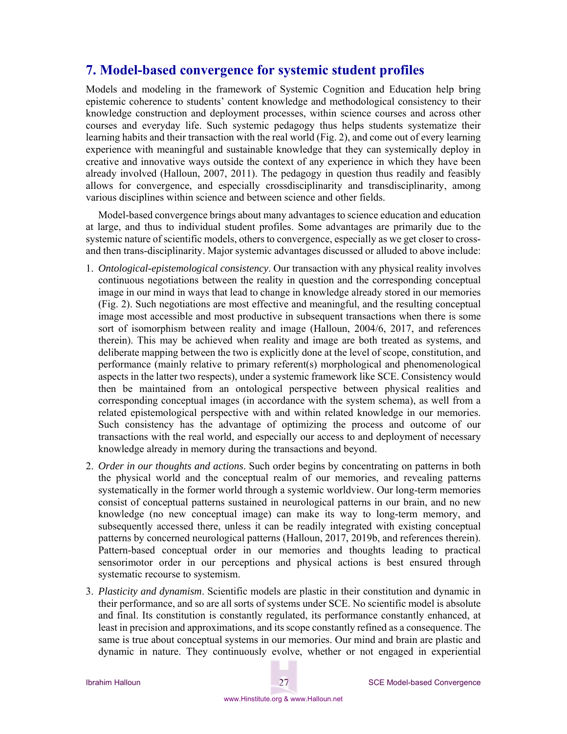## **7. Model-based convergence for systemic student profiles**

Models and modeling in the framework of Systemic Cognition and Education help bring epistemic coherence to students' content knowledge and methodological consistency to their knowledge construction and deployment processes, within science courses and across other courses and everyday life. Such systemic pedagogy thus helps students systematize their learning habits and their transaction with the real world (Fig. 2), and come out of every learning experience with meaningful and sustainable knowledge that they can systemically deploy in creative and innovative ways outside the context of any experience in which they have been already involved (Halloun, 2007, 2011). The pedagogy in question thus readily and feasibly allows for convergence, and especially crossdisciplinarity and transdisciplinarity, among various disciplines within science and between science and other fields.

Model-based convergence brings about many advantages to science education and education at large, and thus to individual student profiles. Some advantages are primarily due to the systemic nature of scientific models, others to convergence, especially as we get closer to crossand then trans-disciplinarity. Major systemic advantages discussed or alluded to above include:

- 1. *Ontological-epistemological consistency*. Our transaction with any physical reality involves continuous negotiations between the reality in question and the corresponding conceptual image in our mind in ways that lead to change in knowledge already stored in our memories (Fig. 2). Such negotiations are most effective and meaningful, and the resulting conceptual image most accessible and most productive in subsequent transactions when there is some sort of isomorphism between reality and image (Halloun, 2004/6, 2017, and references therein). This may be achieved when reality and image are both treated as systems, and deliberate mapping between the two is explicitly done at the level of scope, constitution, and performance (mainly relative to primary referent(s) morphological and phenomenological aspects in the latter two respects), under a systemic framework like SCE. Consistency would then be maintained from an ontological perspective between physical realities and corresponding conceptual images (in accordance with the system schema), as well from a related epistemological perspective with and within related knowledge in our memories. Such consistency has the advantage of optimizing the process and outcome of our transactions with the real world, and especially our access to and deployment of necessary knowledge already in memory during the transactions and beyond.
- 2. *Order in our thoughts and actions*. Such order begins by concentrating on patterns in both the physical world and the conceptual realm of our memories, and revealing patterns systematically in the former world through a systemic worldview. Our long-term memories consist of conceptual patterns sustained in neurological patterns in our brain, and no new knowledge (no new conceptual image) can make its way to long-term memory, and subsequently accessed there, unless it can be readily integrated with existing conceptual patterns by concerned neurological patterns (Halloun, 2017, 2019b, and references therein). Pattern-based conceptual order in our memories and thoughts leading to practical sensorimotor order in our perceptions and physical actions is best ensured through systematic recourse to systemism.
- 3. *Plasticity and dynamism*. Scientific models are plastic in their constitution and dynamic in their performance, and so are all sorts of systems under SCE. No scientific model is absolute and final. Its constitution is constantly regulated, its performance constantly enhanced, at least in precision and approximations, and its scope constantly refined as a consequence. The same is true about conceptual systems in our memories. Our mind and brain are plastic and dynamic in nature. They continuously evolve, whether or not engaged in experiential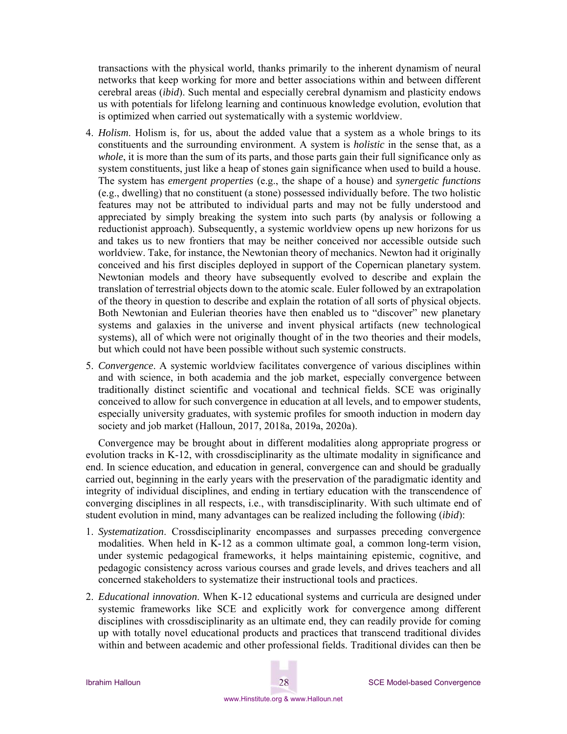transactions with the physical world, thanks primarily to the inherent dynamism of neural networks that keep working for more and better associations within and between different cerebral areas (*ibid*). Such mental and especially cerebral dynamism and plasticity endows us with potentials for lifelong learning and continuous knowledge evolution, evolution that is optimized when carried out systematically with a systemic worldview.

- 4. *Holism*. Holism is, for us, about the added value that a system as a whole brings to its constituents and the surrounding environment. A system is *holistic* in the sense that, as a *whole*, it is more than the sum of its parts, and those parts gain their full significance only as system constituents, just like a heap of stones gain significance when used to build a house. The system has *emergent properties* (e.g., the shape of a house) and *synergetic functions* (e.g., dwelling) that no constituent (a stone) possessed individually before. The two holistic features may not be attributed to individual parts and may not be fully understood and appreciated by simply breaking the system into such parts (by analysis or following a reductionist approach). Subsequently, a systemic worldview opens up new horizons for us and takes us to new frontiers that may be neither conceived nor accessible outside such worldview. Take, for instance, the Newtonian theory of mechanics. Newton had it originally conceived and his first disciples deployed in support of the Copernican planetary system. Newtonian models and theory have subsequently evolved to describe and explain the translation of terrestrial objects down to the atomic scale. Euler followed by an extrapolation of the theory in question to describe and explain the rotation of all sorts of physical objects. Both Newtonian and Eulerian theories have then enabled us to "discover" new planetary systems and galaxies in the universe and invent physical artifacts (new technological systems), all of which were not originally thought of in the two theories and their models, but which could not have been possible without such systemic constructs.
- 5. *Convergence*. A systemic worldview facilitates convergence of various disciplines within and with science, in both academia and the job market, especially convergence between traditionally distinct scientific and vocational and technical fields. SCE was originally conceived to allow for such convergence in education at all levels, and to empower students, especially university graduates, with systemic profiles for smooth induction in modern day society and job market (Halloun, 2017, 2018a, 2019a, 2020a).

Convergence may be brought about in different modalities along appropriate progress or evolution tracks in K-12, with crossdisciplinarity as the ultimate modality in significance and end. In science education, and education in general, convergence can and should be gradually carried out, beginning in the early years with the preservation of the paradigmatic identity and integrity of individual disciplines, and ending in tertiary education with the transcendence of converging disciplines in all respects, i.e., with transdisciplinarity. With such ultimate end of student evolution in mind, many advantages can be realized including the following (*ibid*):

- 1. *Systematization*. Crossdisciplinarity encompasses and surpasses preceding convergence modalities. When held in K-12 as a common ultimate goal, a common long-term vision, under systemic pedagogical frameworks, it helps maintaining epistemic, cognitive, and pedagogic consistency across various courses and grade levels, and drives teachers and all concerned stakeholders to systematize their instructional tools and practices.
- 2. *Educational innovation*. When K-12 educational systems and curricula are designed under systemic frameworks like SCE and explicitly work for convergence among different disciplines with crossdisciplinarity as an ultimate end, they can readily provide for coming up with totally novel educational products and practices that transcend traditional divides within and between academic and other professional fields. Traditional divides can then be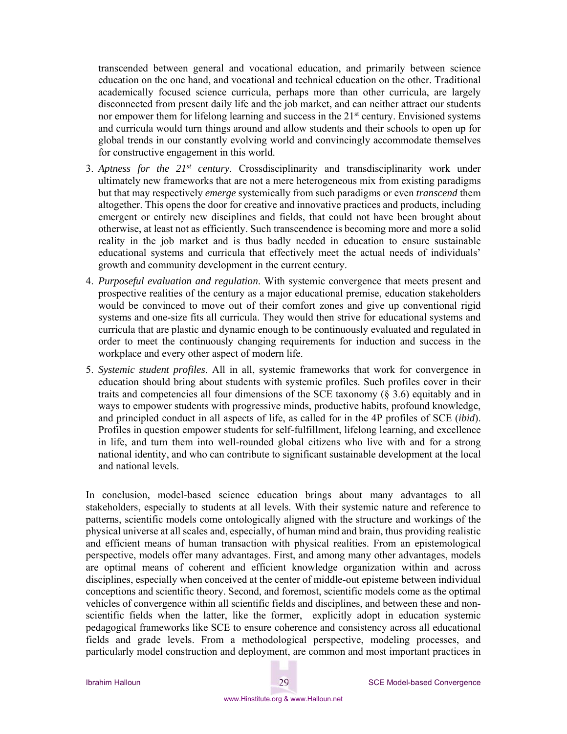transcended between general and vocational education, and primarily between science education on the one hand, and vocational and technical education on the other. Traditional academically focused science curricula, perhaps more than other curricula, are largely disconnected from present daily life and the job market, and can neither attract our students nor empower them for lifelong learning and success in the 21<sup>st</sup> century. Envisioned systems and curricula would turn things around and allow students and their schools to open up for global trends in our constantly evolving world and convincingly accommodate themselves for constructive engagement in this world.

- 3. *Aptness for the 21st century*. Crossdisciplinarity and transdisciplinarity work under ultimately new frameworks that are not a mere heterogeneous mix from existing paradigms but that may respectively *emerge* systemically from such paradigms or even *transcend* them altogether. This opens the door for creative and innovative practices and products, including emergent or entirely new disciplines and fields, that could not have been brought about otherwise, at least not as efficiently. Such transcendence is becoming more and more a solid reality in the job market and is thus badly needed in education to ensure sustainable educational systems and curricula that effectively meet the actual needs of individuals' growth and community development in the current century.
- 4. *Purposeful evaluation and regulation*. With systemic convergence that meets present and prospective realities of the century as a major educational premise, education stakeholders would be convinced to move out of their comfort zones and give up conventional rigid systems and one-size fits all curricula. They would then strive for educational systems and curricula that are plastic and dynamic enough to be continuously evaluated and regulated in order to meet the continuously changing requirements for induction and success in the workplace and every other aspect of modern life.
- 5. *Systemic student profiles*. All in all, systemic frameworks that work for convergence in education should bring about students with systemic profiles. Such profiles cover in their traits and competencies all four dimensions of the SCE taxonomy (§ 3.6) equitably and in ways to empower students with progressive minds, productive habits, profound knowledge, and principled conduct in all aspects of life, as called for in the 4P profiles of SCE (*ibid*). Profiles in question empower students for self-fulfillment, lifelong learning, and excellence in life, and turn them into well-rounded global citizens who live with and for a strong national identity, and who can contribute to significant sustainable development at the local and national levels.

In conclusion, model-based science education brings about many advantages to all stakeholders, especially to students at all levels. With their systemic nature and reference to patterns, scientific models come ontologically aligned with the structure and workings of the physical universe at all scales and, especially, of human mind and brain, thus providing realistic and efficient means of human transaction with physical realities. From an epistemological perspective, models offer many advantages. First, and among many other advantages, models are optimal means of coherent and efficient knowledge organization within and across disciplines, especially when conceived at the center of middle-out episteme between individual conceptions and scientific theory. Second, and foremost, scientific models come as the optimal vehicles of convergence within all scientific fields and disciplines, and between these and nonscientific fields when the latter, like the former, explicitly adopt in education systemic pedagogical frameworks like SCE to ensure coherence and consistency across all educational fields and grade levels. From a methodological perspective, modeling processes, and particularly model construction and deployment, are common and most important practices in

## www.Hinstitute.org & www.Halloun.net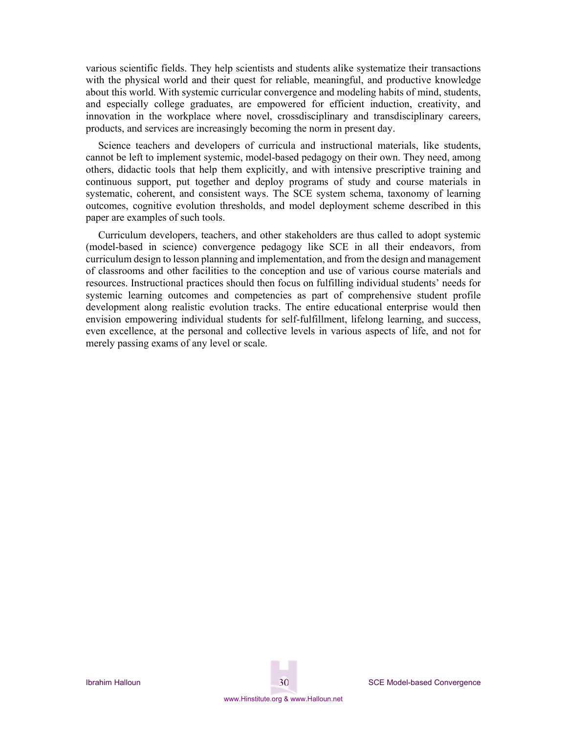various scientific fields. They help scientists and students alike systematize their transactions with the physical world and their quest for reliable, meaningful, and productive knowledge about this world. With systemic curricular convergence and modeling habits of mind, students, and especially college graduates, are empowered for efficient induction, creativity, and innovation in the workplace where novel, crossdisciplinary and transdisciplinary careers, products, and services are increasingly becoming the norm in present day.

Science teachers and developers of curricula and instructional materials, like students, cannot be left to implement systemic, model-based pedagogy on their own. They need, among others, didactic tools that help them explicitly, and with intensive prescriptive training and continuous support, put together and deploy programs of study and course materials in systematic, coherent, and consistent ways. The SCE system schema, taxonomy of learning outcomes, cognitive evolution thresholds, and model deployment scheme described in this paper are examples of such tools.

Curriculum developers, teachers, and other stakeholders are thus called to adopt systemic (model-based in science) convergence pedagogy like SCE in all their endeavors, from curriculum design to lesson planning and implementation, and from the design and management of classrooms and other facilities to the conception and use of various course materials and resources. Instructional practices should then focus on fulfilling individual students' needs for systemic learning outcomes and competencies as part of comprehensive student profile development along realistic evolution tracks. The entire educational enterprise would then envision empowering individual students for self-fulfillment, lifelong learning, and success, even excellence, at the personal and collective levels in various aspects of life, and not for merely passing exams of any level or scale.

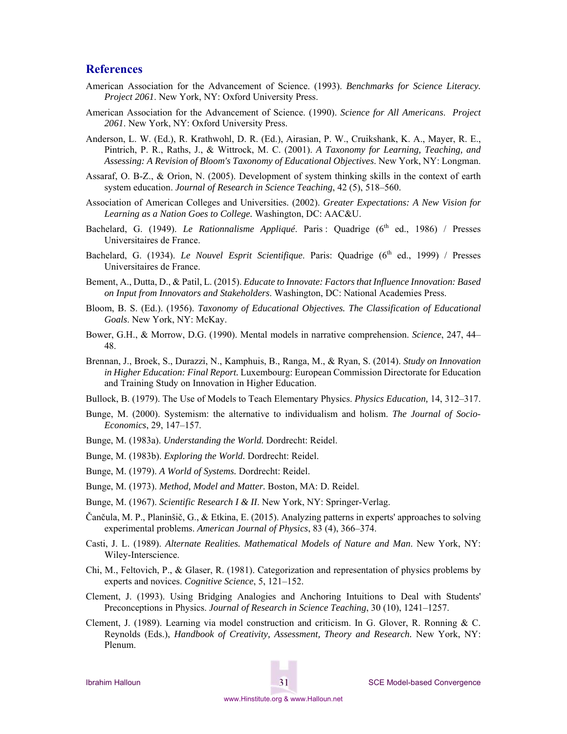#### **References**

- American Association for the Advancement of Science. (1993). *Benchmarks for Science Literacy. Project 2061*. New York, NY: Oxford University Press.
- American Association for the Advancement of Science. (1990). *Science for All Americans*. *Project 2061*. New York, NY: Oxford University Press.
- Anderson, L. W. (Ed.), R. Krathwohl, D. R. (Ed.), Airasian, P. W., Cruikshank, K. A., Mayer, R. E., Pintrich, P. R., Raths, J., & Wittrock, M. C. (2001). *A Taxonomy for Learning, Teaching, and Assessing: A Revision of Bloom's Taxonomy of Educational Objectives*. New York, NY: Longman.
- Assaraf, O. B-Z., & Orion, N. (2005). Development of system thinking skills in the context of earth system education. *Journal of Research in Science Teaching*, 42 (5), 518–560.
- Association of American Colleges and Universities. (2002). *Greater Expectations: A New Vision for Learning as a Nation Goes to College.* Washington, DC: AAC&U.
- Bachelard, G. (1949). *Le Rationnalisme Appliqué*. Paris : Quadrige (6<sup>th</sup> ed., 1986) / Presses Universitaires de France.
- Bachelard, G. (1934). *Le Nouvel Esprit Scientifique*. Paris: Quadrige (6<sup>th</sup> ed., 1999) / Presses Universitaires de France.
- Bement, A., Dutta, D., & Patil, L. (2015). *Educate to Innovate: Factors that Influence Innovation: Based on Input from Innovators and Stakeholders*. Washington, DC: National Academies Press.
- Bloom, B. S. (Ed.). (1956). *Taxonomy of Educational Objectives. The Classification of Educational Goals*. New York, NY: McKay.
- Bower, G.H., & Morrow, D.G. (1990). Mental models in narrative comprehension. *Science*, 247, 44– 48.
- Brennan, J., Broek, S., Durazzi, N., Kamphuis, B., Ranga, M., & Ryan, S. (2014). *Study on Innovation in Higher Education: Final Report.* Luxembourg: European Commission Directorate for Education and Training Study on Innovation in Higher Education.
- Bullock, B. (1979). The Use of Models to Teach Elementary Physics. *Physics Education,* 14, 312–317.
- Bunge, M. (2000). Systemism: the alternative to individualism and holism. *The Journal of Socio-Economics*, 29, 147–157.
- Bunge, M. (1983a). *Understanding the World.* Dordrecht: Reidel.
- Bunge, M. (1983b). *Exploring the World.* Dordrecht: Reidel.
- Bunge, M. (1979). *A World of Systems.* Dordrecht: Reidel.
- Bunge, M. (1973). *Method, Model and Matter.* Boston, MA: D. Reidel.
- Bunge, M. (1967). *Scientific Research I & II*. New York, NY: Springer-Verlag.
- Čančula, M. P., Planinšič, G., & Etkina, E. (2015). Analyzing patterns in experts' approaches to solving experimental problems. *American Journal of Physics*, 83 (4), 366–374.
- Casti, J. L. (1989). *Alternate Realities. Mathematical Models of Nature and Man*. New York, NY: Wiley-Interscience.
- Chi, M., Feltovich, P., & Glaser, R. (1981). Categorization and representation of physics problems by experts and novices. *Cognitive Science*, 5, 121–152.
- Clement, J. (1993). Using Bridging Analogies and Anchoring Intuitions to Deal with Students' Preconceptions in Physics. *Journal of Research in Science Teaching*, 30 (10), 1241–1257.
- Clement, J. (1989). Learning via model construction and criticism. In G. Glover, R. Ronning & C. Reynolds (Eds.), *Handbook of Creativity, Assessment, Theory and Research.* New York, NY: Plenum.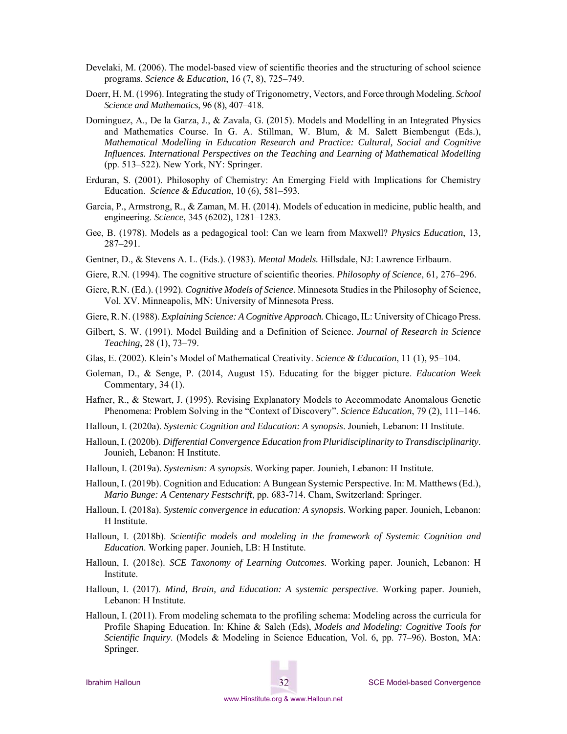- Develaki, M. (2006). The model-based view of scientific theories and the structuring of school science programs. *Science & Education*, 16 (7, 8), 725–749.
- Doerr, H. M. (1996). Integrating the study of Trigonometry, Vectors, and Force through Modeling. *School Science and Mathematics*, 96 (8), 407–418.
- Dominguez, A., De la Garza, J., & Zavala, G. (2015). Models and Modelling in an Integrated Physics and Mathematics Course. In G. A. Stillman, W. Blum, & M. Salett Biembengut (Eds.), *Mathematical Modelling in Education Research and Practice: Cultural, Social and Cognitive Influences. International Perspectives on the Teaching and Learning of Mathematical Modelling* (pp. 513–522). New York, NY: Springer.
- Erduran, S. (2001). Philosophy of Chemistry: An Emerging Field with Implications for Chemistry Education. *Science & Education*, 10 (6), 581–593.
- Garcia, P., Armstrong, R., & Zaman, M. H. (2014). Models of education in medicine, public health, and engineering. *Science,* 345 (6202), 1281–1283.
- Gee, B. (1978). Models as a pedagogical tool: Can we learn from Maxwell? *Physics Education*, 13*,*  287–291.
- Gentner, D., & Stevens A. L. (Eds.). (1983). *Mental Models.* Hillsdale, NJ: Lawrence Erlbaum.
- Giere, R.N. (1994). The cognitive structure of scientific theories. *Philosophy of Science*, 61*,* 276–296.
- Giere, R.N. (Ed.). (1992). *Cognitive Models of Science.* Minnesota Studies in the Philosophy of Science, Vol. XV. Minneapolis, MN: University of Minnesota Press.
- Giere, R. N. (1988). *Explaining Science: A Cognitive Approach.* Chicago, IL: University of Chicago Press.
- Gilbert, S. W. (1991). Model Building and a Definition of Science. *Journal of Research in Science Teaching*, 28 (1), 73–79.
- Glas, E. (2002). Klein's Model of Mathematical Creativity. *Science & Education*, 11 (1), 95–104.
- Goleman, D., & Senge, P. (2014, August 15). Educating for the bigger picture. *Education Week* Commentary, 34 (1).
- Hafner, R., & Stewart, J. (1995). Revising Explanatory Models to Accommodate Anomalous Genetic Phenomena: Problem Solving in the "Context of Discovery". *Science Education*, 79 (2), 111–146.
- Halloun, I. (2020a). *Systemic Cognition and Education: A synopsis*. Jounieh, Lebanon: H Institute.
- Halloun, I. (2020b). *Differential Convergence Education from Pluridisciplinarity to Transdisciplinarity*. Jounieh, Lebanon: H Institute.
- Halloun, I. (2019a). *Systemism: A synopsis*. Working paper. Jounieh, Lebanon: H Institute.
- Halloun, I. (2019b). Cognition and Education: A Bungean Systemic Perspective. In: M. Matthews (Ed.), *Mario Bunge: A Centenary Festschrift*, pp. 683-714. Cham, Switzerland: Springer.
- Halloun, I. (2018a). *Systemic convergence in education: A synopsis*. Working paper. Jounieh, Lebanon: H Institute.
- Halloun, I. (2018b). *Scientific models and modeling in the framework of Systemic Cognition and Education*. Working paper. Jounieh, LB: H Institute.
- Halloun, I. (2018c). *SCE Taxonomy of Learning Outcomes*. Working paper. Jounieh, Lebanon: H Institute.
- Halloun, I. (2017). *Mind, Brain, and Education: A systemic perspective*. Working paper. Jounieh, Lebanon: H Institute.
- Halloun, I. (2011). From modeling schemata to the profiling schema: Modeling across the curricula for Profile Shaping Education. In: Khine & Saleh (Eds), *Models and Modeling: Cognitive Tools for Scientific Inquiry*. (Models & Modeling in Science Education, Vol. 6, pp. 77–96). Boston, MA: Springer.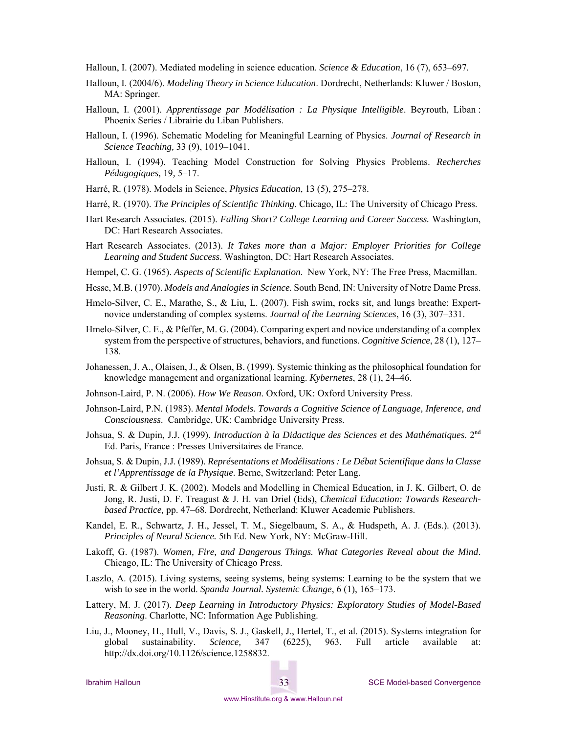Halloun, I. (2007). Mediated modeling in science education. *Science & Education*, 16 (7), 653–697.

- Halloun, I. (2004/6). *Modeling Theory in Science Education*. Dordrecht, Netherlands: Kluwer / Boston, MA: Springer.
- Halloun, I. (2001). *Apprentissage par Modélisation : La Physique Intelligible*. Beyrouth, Liban : Phoenix Series / Librairie du Liban Publishers.
- Halloun, I. (1996). Schematic Modeling for Meaningful Learning of Physics. *Journal of Research in Science Teaching,* 33 (9), 1019–1041.
- Halloun, I. (1994). Teaching Model Construction for Solving Physics Problems. *Recherches Pédagogiques,* 19*,* 5–17.
- Harré, R. (1978). Models in Science, *Physics Education*, 13 (5), 275–278.
- Harré, R. (1970). *The Principles of Scientific Thinking*. Chicago, IL: The University of Chicago Press.
- Hart Research Associates. (2015). *Falling Short? College Learning and Career Success.* Washington, DC: Hart Research Associates.
- Hart Research Associates. (2013). *It Takes more than a Major: Employer Priorities for College Learning and Student Success*. Washington, DC: Hart Research Associates.
- Hempel, C. G. (1965). *Aspects of Scientific Explanation*. New York, NY: The Free Press, Macmillan.
- Hesse, M.B. (1970). *Models and Analogies in Science.* South Bend, IN: University of Notre Dame Press.
- Hmelo-Silver, C. E., Marathe, S., & Liu, L. (2007). Fish swim, rocks sit, and lungs breathe: Expertnovice understanding of complex systems. *Journal of the Learning Sciences*, 16 (3), 307–331.
- Hmelo-Silver, C. E., & Pfeffer, M. G. (2004). Comparing expert and novice understanding of a complex system from the perspective of structures, behaviors, and functions. *Cognitive Science*, 28 (1), 127– 138.
- Johanessen, J. A., Olaisen, J., & Olsen, B. (1999). Systemic thinking as the philosophical foundation for knowledge management and organizational learning. *Kybernetes*, 28 (1), 24–46.
- Johnson-Laird, P. N. (2006). *How We Reason*. Oxford, UK: Oxford University Press.
- Johnson-Laird, P.N. (1983). *Mental Models. Towards a Cognitive Science of Language, Inference, and Consciousness*. Cambridge, UK: Cambridge University Press.
- Johsua, S. & Dupin, J.J. (1999). *Introduction à la Didactique des Sciences et des Mathématiques*. 2nd Ed. Paris, France : Presses Universitaires de France.
- Johsua, S. & Dupin, J.J. (1989). *Représentations et Modélisations : Le Débat Scientifique dans la Classe et l'Apprentissage de la Physique*. Berne, Switzerland: Peter Lang.
- Justi, R. & Gilbert J. K. (2002). Models and Modelling in Chemical Education, in J. K. Gilbert, O. de Jong, R. Justi, D. F. Treagust & J. H. van Driel (Eds), *Chemical Education: Towards Researchbased Practice,* pp. 47–68. Dordrecht, Netherland: Kluwer Academic Publishers.
- Kandel, E. R., Schwartz, J. H., Jessel, T. M., Siegelbaum, S. A., & Hudspeth, A. J. (Eds.). (2013). *Principles of Neural Science.* 5th Ed. New York, NY: McGraw-Hill.
- Lakoff, G. (1987). *Women, Fire, and Dangerous Things. What Categories Reveal about the Mind*. Chicago, IL: The University of Chicago Press.
- Laszlo, A. (2015). Living systems, seeing systems, being systems: Learning to be the system that we wish to see in the world. *Spanda Journal. Systemic Change*, 6 (1), 165–173.
- Lattery, M. J. (2017). *Deep Learning in Introductory Physics: Exploratory Studies of Model-Based Reasoning*. Charlotte, NC: Information Age Publishing.
- Liu, J., Mooney, H., Hull, V., Davis, S. J., Gaskell, J., Hertel, T., et al. (2015). Systems integration for global sustainability. *Science,* 347 (6225), 963. Full article available at: http://dx.doi.org/10.1126/science.1258832.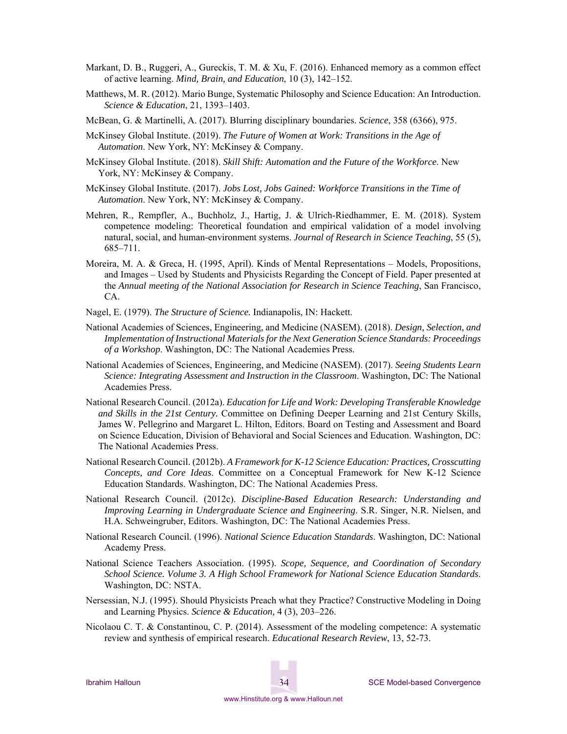- Markant, D. B., Ruggeri, A., Gureckis, T. M. & Xu, F. (2016). Enhanced memory as a common effect of active learning. *Mind, Brain, and Education*, 10 (3), 142–152.
- Matthews, M. R. (2012). Mario Bunge, Systematic Philosophy and Science Education: An Introduction. *Science & Education*, 21, 1393–1403.
- McBean, G. & Martinelli, A. (2017). Blurring disciplinary boundaries. *Science*, 358 (6366), 975.
- McKinsey Global Institute. (2019). *The Future of Women at Work: Transitions in the Age of Automation*. New York, NY: McKinsey & Company.
- McKinsey Global Institute. (2018). *Skill Shift: Automation and the Future of the Workforce*. New York, NY: McKinsey & Company.
- McKinsey Global Institute. (2017). *Jobs Lost, Jobs Gained: Workforce Transitions in the Time of Automation*. New York, NY: McKinsey & Company.
- Mehren, R., Rempfler, A., Buchholz, J., Hartig, J. & Ulrich-Riedhammer, E. M. (2018). System competence modeling: Theoretical foundation and empirical validation of a model involving natural, social, and human-environment systems. *Journal of Research in Science Teaching*, 55 (5), 685–711.
- Moreira, M. A. & Greca, H. (1995, April). Kinds of Mental Representations Models, Propositions, and Images – Used by Students and Physicists Regarding the Concept of Field. Paper presented at the *Annual meeting of the National Association for Research in Science Teaching*, San Francisco, CA.
- Nagel, E. (1979). *The Structure of Science.* Indianapolis, IN: Hackett.
- National Academies of Sciences, Engineering, and Medicine (NASEM). (2018). *Design, Selection, and Implementation of Instructional Materials for the Next Generation Science Standards: Proceedings of a Workshop*. Washington, DC: The National Academies Press.
- National Academies of Sciences, Engineering, and Medicine (NASEM). (2017). *Seeing Students Learn Science: Integrating Assessment and Instruction in the Classroom*. Washington, DC: The National Academies Press.
- National Research Council. (2012a). *Education for Life and Work: Developing Transferable Knowledge and Skills in the 21st Century.* Committee on Defining Deeper Learning and 21st Century Skills, James W. Pellegrino and Margaret L. Hilton, Editors. Board on Testing and Assessment and Board on Science Education, Division of Behavioral and Social Sciences and Education. Washington, DC: The National Academies Press.
- National Research Council. (2012b). *A Framework for K-12 Science Education: Practices, Crosscutting Concepts, and Core Ideas*. Committee on a Conceptual Framework for New K-12 Science Education Standards. Washington, DC: The National Academies Press.
- National Research Council. (2012c). *Discipline-Based Education Research: Understanding and Improving Learning in Undergraduate Science and Engineering*. S.R. Singer, N.R. Nielsen, and H.A. Schweingruber, Editors. Washington, DC: The National Academies Press.
- National Research Council. (1996). *National Science Education Standards*. Washington, DC: National Academy Press.
- National Science Teachers Association. (1995). *Scope, Sequence, and Coordination of Secondary School Science. Volume 3. A High School Framework for National Science Education Standards*. Washington, DC: NSTA.
- Nersessian, N.J. (1995). Should Physicists Preach what they Practice? Constructive Modeling in Doing and Learning Physics. *Science & Education,* 4 (3), 203–226.
- Nicolaou C. T. & Constantinou, C. P. (2014). Assessment of the modeling competence: A systematic review and synthesis of empirical research. *Educational Research Review*, 13, 52-73.